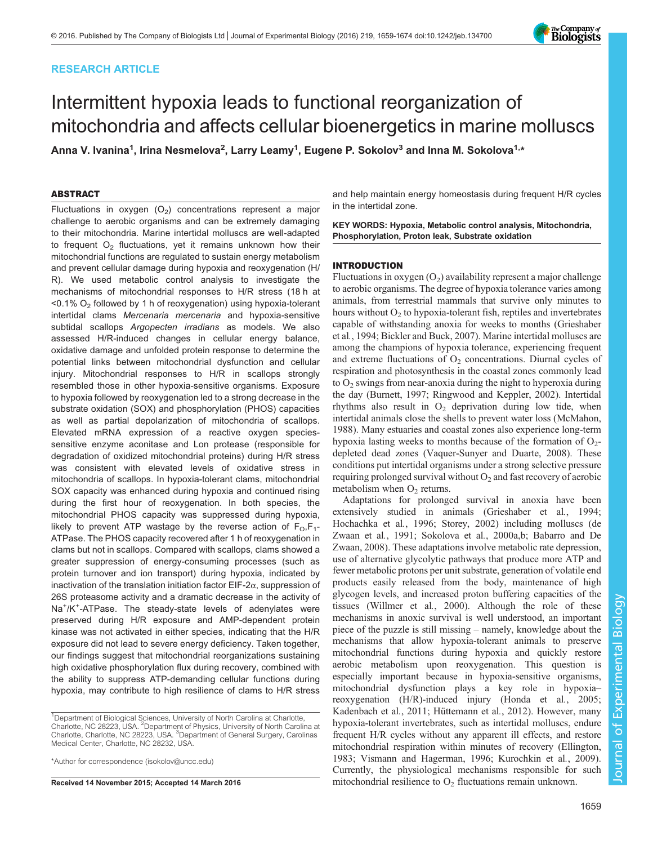# RESEARCH ARTICLE



# Intermittent hypoxia leads to functional reorganization of mitochondria and affects cellular bioenergetics in marine molluscs

Anna V. Ivanina<sup>1</sup>, Irina Nesmelova<sup>2</sup>, Larry Leamy<sup>1</sup>, Eugene P. Sokolov<sup>3</sup> and Inna M. Sokolova<sup>1,\*</sup>

# ABSTRACT

Fluctuations in oxygen  $(O_2)$  concentrations represent a major challenge to aerobic organisms and can be extremely damaging to their mitochondria. Marine intertidal molluscs are well-adapted to frequent  $O<sub>2</sub>$  fluctuations, yet it remains unknown how their mitochondrial functions are regulated to sustain energy metabolism and prevent cellular damage during hypoxia and reoxygenation (H/ R). We used metabolic control analysis to investigate the mechanisms of mitochondrial responses to H/R stress (18 h at  $<$  0.1% O<sub>2</sub> followed by 1 h of reoxygenation) using hypoxia-tolerant intertidal clams Mercenaria mercenaria and hypoxia-sensitive subtidal scallops Argopecten irradians as models. We also assessed H/R-induced changes in cellular energy balance, oxidative damage and unfolded protein response to determine the potential links between mitochondrial dysfunction and cellular injury. Mitochondrial responses to H/R in scallops strongly resembled those in other hypoxia-sensitive organisms. Exposure to hypoxia followed by reoxygenation led to a strong decrease in the substrate oxidation (SOX) and phosphorylation (PHOS) capacities as well as partial depolarization of mitochondria of scallops. Elevated mRNA expression of a reactive oxygen speciessensitive enzyme aconitase and Lon protease (responsible for degradation of oxidized mitochondrial proteins) during H/R stress was consistent with elevated levels of oxidative stress in mitochondria of scallops. In hypoxia-tolerant clams, mitochondrial SOX capacity was enhanced during hypoxia and continued rising during the first hour of reoxygenation. In both species, the mitochondrial PHOS capacity was suppressed during hypoxia, likely to prevent ATP wastage by the reverse action of  $F_0$ ,  $F_1$ -ATPase. The PHOS capacity recovered after 1 h of reoxygenation in clams but not in scallops. Compared with scallops, clams showed a greater suppression of energy-consuming processes (such as protein turnover and ion transport) during hypoxia, indicated by inactivation of the translation initiation factor EIF-2α, suppression of 26S proteasome activity and a dramatic decrease in the activity of Na<sup>+</sup>/K<sup>+</sup>-ATPase. The steady-state levels of adenylates were preserved during H/R exposure and AMP-dependent protein kinase was not activated in either species, indicating that the H/R exposure did not lead to severe energy deficiency. Taken together, our findings suggest that mitochondrial reorganizations sustaining high oxidative phosphorylation flux during recovery, combined with the ability to suppress ATP-demanding cellular functions during hypoxia, may contribute to high resilience of clams to H/R stress

and help maintain energy homeostasis during frequent H/R cycles in the intertidal zone.

KEY WORDS: Hypoxia, Metabolic control analysis, Mitochondria, Phosphorylation, Proton leak, Substrate oxidation

## INTRODUCTION

Fluctuations in oxygen  $(O_2)$  availability represent a major challenge to aerobic organisms. The degree of hypoxia tolerance varies among animals, from terrestrial mammals that survive only minutes to hours without  $O_2$  to hypoxia-tolerant fish, reptiles and invertebrates capable of withstanding anoxia for weeks to months ([Grieshaber](#page-14-0) et al.[, 1994;](#page-14-0) [Bickler and Buck, 2007](#page-13-0)). Marine intertidal molluscs are among the champions of hypoxia tolerance, experiencing frequent and extreme fluctuations of  $O_2$  concentrations. Diurnal cycles of respiration and photosynthesis in the coastal zones commonly lead to  $O<sub>2</sub>$  swings from near-anoxia during the night to hyperoxia during the day ([Burnett, 1997;](#page-13-0) [Ringwood and Keppler, 2002\)](#page-14-0). Intertidal rhythms also result in  $O_2$  deprivation during low tide, when intertidal animals close the shells to prevent water loss [\(McMahon,](#page-14-0) [1988\)](#page-14-0). Many estuaries and coastal zones also experience long-term hypoxia lasting weeks to months because of the formation of  $O_{2}$ depleted dead zones [\(Vaquer-Sunyer and Duarte, 2008](#page-15-0)). These conditions put intertidal organisms under a strong selective pressure requiring prolonged survival without  $O_2$  and fast recovery of aerobic metabolism when  $O<sub>2</sub>$  returns.

Adaptations for prolonged survival in anoxia have been extensively studied in animals [\(Grieshaber et al](#page-14-0)., 1994; [Hochachka et al](#page-14-0)., 1996; [Storey, 2002\)](#page-15-0) including molluscs [\(de](#page-14-0) [Zwaan et al](#page-14-0)., 1991; [Sokolova et al](#page-15-0)., 2000a[,b;](#page-15-0) [Babarro and De](#page-13-0) [Zwaan, 2008\)](#page-13-0). These adaptations involve metabolic rate depression, use of alternative glycolytic pathways that produce more ATP and fewer metabolic protons per unit substrate, generation of volatile end products easily released from the body, maintenance of high glycogen levels, and increased proton buffering capacities of the tissues ([Willmer et al](#page-15-0)., 2000). Although the role of these mechanisms in anoxic survival is well understood, an important piece of the puzzle is still missing – namely, knowledge about the mechanisms that allow hypoxia-tolerant animals to preserve mitochondrial functions during hypoxia and quickly restore aerobic metabolism upon reoxygenation. This question is especially important because in hypoxia-sensitive organisms, mitochondrial dysfunction plays a key role in hypoxia– reoxygenation (H/R)-induced injury [\(Honda et al](#page-14-0)., 2005; [Kadenbach et al](#page-14-0)., 2011; [Hüttemann et al](#page-14-0)., 2012). However, many hypoxia-tolerant invertebrates, such as intertidal molluscs, endure frequent H/R cycles without any apparent ill effects, and restore mitochondrial respiration within minutes of recovery ([Ellington,](#page-14-0) [1983;](#page-14-0) [Vismann and Hagerman, 1996](#page-15-0); [Kurochkin et al](#page-14-0)., 2009). Currently, the physiological mechanisms responsible for such Received 14 November 2015; Accepted 14 March 2016 mitochondrial resilience to  $O<sub>2</sub>$  fluctuations remain unknown.

<sup>&</sup>lt;sup>1</sup>Department of Biological Sciences, University of North Carolina at Charlotte, Charlotte, NC 28223, USA. <sup>2</sup> Department of Physics, University of North Carolina at Charlotte, Charlotte, NC 28223, USA. <sup>3</sup>Department of General Surgery, Carolinas Medical Center, Charlotte, NC 28232, USA.

<sup>\*</sup>Author for correspondence [\(isokolov@uncc.edu](mailto:isokolov@uncc.edu))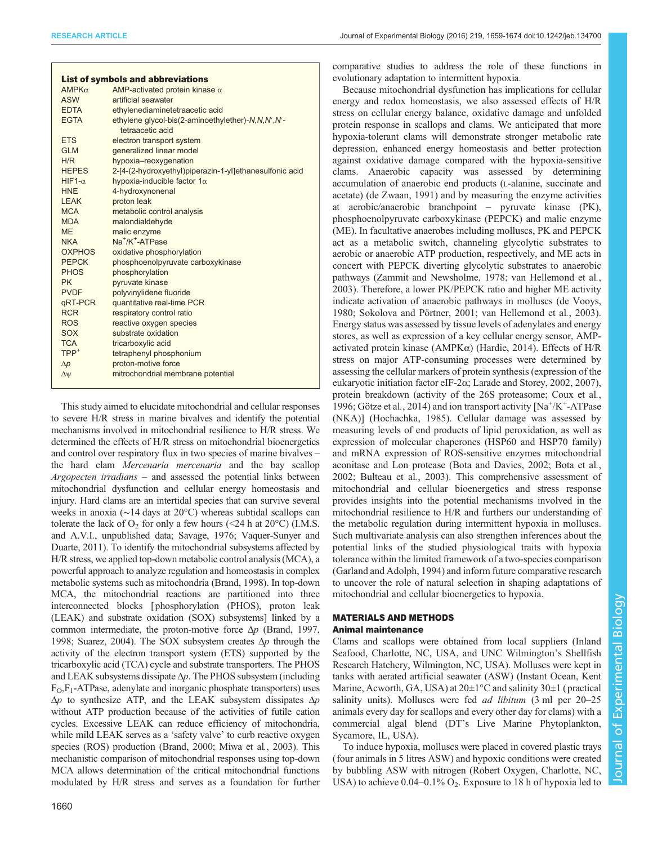| Journal of Experimental Biology (2016) 219, 1659-1674 doi:10.1242/jeb.134700 |  |
|------------------------------------------------------------------------------|--|
|------------------------------------------------------------------------------|--|

| <b>List of symbols and abbreviations</b> |                                                         |  |
|------------------------------------------|---------------------------------------------------------|--|
| $AMPK\alpha$                             | AMP-activated protein kinase $\alpha$                   |  |
| <b>ASW</b>                               | artificial seawater                                     |  |
| <b>EDTA</b>                              | ethylenediaminetetraacetic acid                         |  |
| <b>EGTA</b>                              | ethylene glycol-bis(2-aminoethylether)-N,N,N',N'-       |  |
|                                          | tetraacetic acid                                        |  |
| <b>ETS</b>                               | electron transport system                               |  |
| <b>GIM</b>                               | generalized linear model                                |  |
| H/R                                      | hypoxia-reoxygenation                                   |  |
| <b>HEPES</b>                             | 2-[4-(2-hydroxyethyl)piperazin-1-yl]ethanesulfonic acid |  |
| $HIF1-\alpha$                            | hypoxia-inducible factor $1\alpha$                      |  |
| <b>HNE</b>                               | 4-hydroxynonenal                                        |  |
| <b>LEAK</b>                              | proton leak                                             |  |
| <b>MCA</b>                               | metabolic control analysis                              |  |
| <b>MDA</b>                               | malondialdehyde                                         |  |
| <b>MF</b>                                | malic enzyme                                            |  |
| <b>NKA</b>                               | Na <sup>+</sup> /K <sup>+</sup> -ATPase                 |  |
| <b>OXPHOS</b>                            | oxidative phosphorylation                               |  |
| <b>PEPCK</b>                             | phosphoenolpyruvate carboxykinase                       |  |
| <b>PHOS</b>                              | phosphorylation                                         |  |
| <b>PK</b>                                | pyruvate kinase                                         |  |
| <b>PVDF</b>                              | polyvinylidene fluoride                                 |  |
| qRT-PCR                                  | quantitative real-time PCR                              |  |
| <b>RCR</b>                               | respiratory control ratio                               |  |
| <b>ROS</b>                               | reactive oxygen species                                 |  |
| SOX                                      | substrate oxidation                                     |  |
| <b>TCA</b>                               | tricarboxylic acid                                      |  |
| $TPP+$                                   | tetraphenyl phosphonium                                 |  |
| $\Delta p$                               | proton-motive force                                     |  |
| $\Delta \psi$                            | mitrochondrial membrane potential                       |  |

This study aimed to elucidate mitochondrial and cellular responses to severe H/R stress in marine bivalves and identify the potential mechanisms involved in mitochondrial resilience to H/R stress. We determined the effects of H/R stress on mitochondrial bioenergetics and control over respiratory flux in two species of marine bivalves – the hard clam Mercenaria mercenaria and the bay scallop Argopecten irradians – and assessed the potential links between mitochondrial dysfunction and cellular energy homeostasis and injury. Hard clams are an intertidal species that can survive several weeks in anoxia (∼14 days at 20°C) whereas subtidal scallops can tolerate the lack of  $O_2$  for only a few hours (<24 h at 20 $^{\circ}$ C) (I.M.S. and A.V.I., unpublished data; [Savage, 1976](#page-15-0); [Vaquer-Sunyer and](#page-15-0) [Duarte, 2011](#page-15-0)). To identify the mitochondrial subsystems affected by H/R stress, we applied top-down metabolic control analysis (MCA), a powerful approach to analyze regulation and homeostasis in complex metabolic systems such as mitochondria [\(Brand, 1998\)](#page-13-0). In top-down MCA, the mitochondrial reactions are partitioned into three interconnected blocks [phosphorylation (PHOS), proton leak (LEAK) and substrate oxidation (SOX) subsystems] linked by a common intermediate, the proton-motive force  $\Delta p$  ([Brand, 1997,](#page-13-0) [1998;](#page-13-0) [Suarez, 2004](#page-15-0)). The SOX subsystem creates  $\Delta p$  through the activity of the electron transport system (ETS) supported by the tricarboxylic acid (TCA) cycle and substrate transporters. The PHOS and LEAK subsystems dissipate  $\Delta p$ . The PHOS subsystem (including  $F_O$ ,  $F_I$ -ATPase, adenylate and inorganic phosphate transporters) uses  $\Delta p$  to synthesize ATP, and the LEAK subsystem dissipates  $\Delta p$ without ATP production because of the activities of futile cation cycles. Excessive LEAK can reduce efficiency of mitochondria, while mild LEAK serves as a 'safety valve' to curb reactive oxygen species (ROS) production [\(Brand, 2000](#page-13-0); [Miwa et al](#page-14-0)., 2003). This mechanistic comparison of mitochondrial responses using top-down MCA allows determination of the critical mitochondrial functions modulated by H/R stress and serves as a foundation for further

1660

comparative studies to address the role of these functions in evolutionary adaptation to intermittent hypoxia.

Because mitochondrial dysfunction has implications for cellular energy and redox homeostasis, we also assessed effects of H/R stress on cellular energy balance, oxidative damage and unfolded protein response in scallops and clams. We anticipated that more hypoxia-tolerant clams will demonstrate stronger metabolic rate depression, enhanced energy homeostasis and better protection against oxidative damage compared with the hypoxia-sensitive clams. Anaerobic capacity was assessed by determining accumulation of anaerobic end products (L-alanine, succinate and acetate) [\(de Zwaan, 1991\)](#page-14-0) and by measuring the enzyme activities at aerobic/anaerobic branchpoint – pyruvate kinase (PK), phosphoenolpyruvate carboxykinase (PEPCK) and malic enzyme (ME). In facultative anaerobes including molluscs, PK and PEPCK act as a metabolic switch, channeling glycolytic substrates to aerobic or anaerobic ATP production, respectively, and ME acts in concert with PEPCK diverting glycolytic substrates to anaerobic pathways [\(Zammit and Newsholme, 1978; van Hellemond et al](#page-15-0)., [2003\)](#page-15-0). Therefore, a lower PK/PEPCK ratio and higher ME activity indicate activation of anaerobic pathways in molluscs ([de Vooys,](#page-14-0) [1980;](#page-14-0) [Sokolova and Pörtner, 2001; van Hellemond et al](#page-15-0)., 2003). Energy status was assessed by tissue levels of adenylates and energy stores, as well as expression of a key cellular energy sensor, AMPactivated protein kinase (AMPKα) ([Hardie, 2014\)](#page-14-0). Effects of H/R stress on major ATP-consuming processes were determined by assessing the cellular markers of protein synthesis (expression of the eukaryotic initiation factor eIF-2α; [Larade and Storey, 2002, 2007\)](#page-14-0), protein breakdown (activity of the 26S proteasome; [Coux et al](#page-14-0)., [1996; Götze et al](#page-14-0)., 2014) and ion transport activity [Na<sup>+</sup>/K<sup>+</sup>-ATPase (NKA)] ([Hochachka, 1985\)](#page-14-0). Cellular damage was assessed by measuring levels of end products of lipid peroxidation, as well as expression of molecular chaperones (HSP60 and HSP70 family) and mRNA expression of ROS-sensitive enzymes mitochondrial aconitase and Lon protease ([Bota and Davies, 2002](#page-13-0); [Bota et al](#page-13-0)., [2002; Bulteau et al](#page-13-0)., 2003). This comprehensive assessment of mitochondrial and cellular bioenergetics and stress response provides insights into the potential mechanisms involved in the mitochondrial resilience to H/R and furthers our understanding of the metabolic regulation during intermittent hypoxia in molluscs. Such multivariate analysis can also strengthen inferences about the potential links of the studied physiological traits with hypoxia tolerance within the limited framework of a two-species comparison [\(Garland and Adolph, 1994](#page-14-0)) and inform future comparative research to uncover the role of natural selection in shaping adaptations of mitochondrial and cellular bioenergetics to hypoxia.

# MATERIALS AND METHODS Animal maintenance

Clams and scallops were obtained from local suppliers (Inland Seafood, Charlotte, NC, USA, and UNC Wilmington's Shellfish Research Hatchery, Wilmington, NC, USA). Molluscs were kept in tanks with aerated artificial seawater (ASW) (Instant Ocean, Kent Marine, Acworth, GA, USA) at 20±1°C and salinity 30±1 ( practical salinity units). Molluscs were fed *ad libitum* (3 ml per 20–25 animals every day for scallops and every other day for clams) with a commercial algal blend (DT's Live Marine Phytoplankton, Sycamore, IL, USA).

To induce hypoxia, molluscs were placed in covered plastic trays (four animals in 5 litres ASW) and hypoxic conditions were created by bubbling ASW with nitrogen (Robert Oxygen, Charlotte, NC, USA) to achieve  $0.04-0.1\%$  O<sub>2</sub>. Exposure to 18 h of hypoxia led to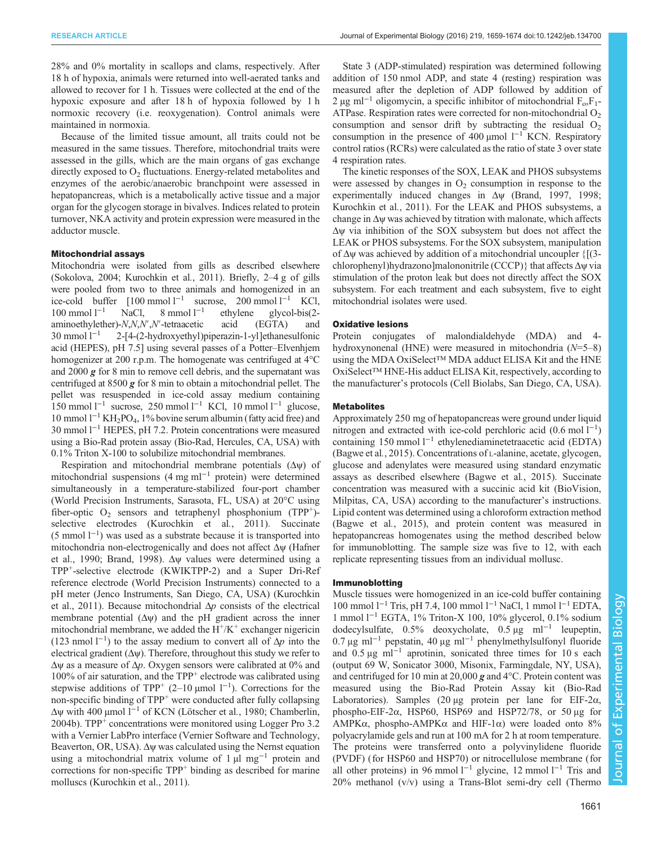28% and 0% mortality in scallops and clams, respectively. After 18 h of hypoxia, animals were returned into well-aerated tanks and allowed to recover for 1 h. Tissues were collected at the end of the hypoxic exposure and after 18 h of hypoxia followed by 1 h normoxic recovery (i.e. reoxygenation). Control animals were maintained in normoxia.

Because of the limited tissue amount, all traits could not be measured in the same tissues. Therefore, mitochondrial traits were assessed in the gills, which are the main organs of gas exchange directly exposed to  $O<sub>2</sub>$  fluctuations. Energy-related metabolites and enzymes of the aerobic/anaerobic branchpoint were assessed in hepatopancreas, which is a metabolically active tissue and a major organ for the glycogen storage in bivalves. Indices related to protein turnover, NKA activity and protein expression were measured in the adductor muscle.

## Mitochondrial assays

Mitochondria were isolated from gills as described elsewhere [\(Sokolova, 2004;](#page-15-0) [Kurochkin et al](#page-14-0)., 2011). Briefly, 2–4 g of gills were pooled from two to three animals and homogenized in an ice-cold buffer  $[100 \text{ mmol } l^{-1}$  sucrose, 200 mmol  $l^{-1}$  KCl, 100 mmol l−<sup>1</sup> NaCl, 8 mmol l−<sup>1</sup> ethylene glycol-bis(2 aminoethylether)-N,N,N′,N′-tetraacetic acid (EGTA) and 30 mmol l−<sup>1</sup> 2-[4-(2-hydroxyethyl)piperazin-1-yl]ethanesulfonic acid (HEPES), pH 7.5] using several passes of a Potter–Elvenhjem homogenizer at 200 r.p.m. The homogenate was centrifuged at 4<sup>o</sup>C and  $2000 \times$  for 8 min to remove cell debris, and the supernatant was centrifuged at 8500 g for 8 min to obtain a mitochondrial pellet. The pellet was resuspended in ice-cold assay medium containing 150 mmol l<sup>-1</sup> sucrose, 250 mmol l<sup>-1</sup> KCl, 10 mmol l<sup>-1</sup> glucose, 10 mmol l−<sup>1</sup> KH2PO4, 1% bovine serum albumin (fatty acid free) and 30 mmol l−<sup>1</sup> HEPES, pH 7.2. Protein concentrations were measured using a Bio-Rad protein assay (Bio-Rad, Hercules, CA, USA) with 0.1% Triton X-100 to solubilize mitochondrial membranes.

Respiration and mitochondrial membrane potentials  $(\Delta \psi)$  of mitochondrial suspensions (4 mg ml−<sup>1</sup> protein) were determined simultaneously in a temperature-stabilized four-port chamber (World Precision Instruments, Sarasota, FL, USA) at 20°C using fiber-optic  $O_2$  sensors and tetraphenyl phosphonium (TPP<sup>+</sup>)-selective electrodes [\(Kurochkin et al](#page-14-0)., 2011). Succinate (5 mmol l−<sup>1</sup> ) was used as a substrate because it is transported into mitochondria non-electrogenically and does not affect Δψ [\(Hafner](#page-14-0) [et al., 1990;](#page-14-0) [Brand, 1998\)](#page-13-0). Δψ values were determined using a TPP+-selective electrode (KWIKTPP-2) and a Super Dri-Ref reference electrode (World Precision Instruments) connected to a pH meter (Jenco Instruments, San Diego, CA, USA) ([Kurochkin](#page-14-0) [et al., 2011](#page-14-0)). Because mitochondrial  $\Delta p$  consists of the electrical membrane potential  $(\Delta \psi)$  and the pH gradient across the inner mitochondrial membrane, we added the  $H^+/K^+$  exchanger nigericin (123 nmol l<sup>-1</sup>) to the assay medium to convert all of  $\Delta p$  into the electrical gradient  $(\Delta \psi)$ . Therefore, throughout this study we refer to  $\Delta \psi$  as a measure of  $\Delta p$ . Oxygen sensors were calibrated at 0% and 100% of air saturation, and the TPP<sup>+</sup> electrode was calibrated using stepwise additions of TPP<sup>+</sup> (2–10 µmol  $1^{-1}$ ). Corrections for the non-specific binding of  $TPP<sup>+</sup>$  were conducted after fully collapsing Δψ with 400 µmol l−<sup>1</sup> of KCN [\(Lötscher et al](#page-14-0)., 1980; [Chamberlin,](#page-13-0) [2004b\)](#page-13-0). TPP<sup>+</sup> concentrations were monitored using Logger Pro  $3.2$ with a Vernier LabPro interface (Vernier Software and Technology, Beaverton, OR, USA). Δψ was calculated using the Nernst equation using a mitochondrial matrix volume of  $1 \mu$ l mg<sup>-1</sup> protein and corrections for non-specific  $TPP^+$  binding as described for marine molluscs [\(Kurochkin et al., 2011\)](#page-14-0).

State 3 (ADP-stimulated) respiration was determined following addition of 150 nmol ADP, and state 4 (resting) respiration was measured after the depletion of ADP followed by addition of 2 μg ml<sup>-1</sup> oligomycin, a specific inhibitor of mitochondrial  $F_0$ ,  $F_1$ -ATPase. Respiration rates were corrected for non-mitochondrial  $O<sub>2</sub>$ consumption and sensor drift by subtracting the residual  $O_2$ consumption in the presence of 400 µmol  $l^{-1}$  KCN. Respiratory control ratios (RCRs) were calculated as the ratio of state 3 over state 4 respiration rates.

The kinetic responses of the SOX, LEAK and PHOS subsystems were assessed by changes in  $O<sub>2</sub>$  consumption in response to the experimentally induced changes in Δψ ([Brand, 1997, 1998](#page-13-0); [Kurochkin et al](#page-14-0)., 2011). For the LEAK and PHOS subsystems, a change in  $\Delta \psi$  was achieved by titration with malonate, which affects Δψ via inhibition of the SOX subsystem but does not affect the LEAK or PHOS subsystems. For the SOX subsystem, manipulation of Δψ was achieved by addition of a mitochondrial uncoupler {[(3 chlorophenyl)hydrazono]malononitrile (CCCP)} that affects Δψ via stimulation of the proton leak but does not directly affect the SOX subsystem. For each treatment and each subsystem, five to eight mitochondrial isolates were used.

## Oxidative lesions

Protein conjugates of malondialdehyde (MDA) and 4 hydroxynonenal (HNE) were measured in mitochondria  $(N=5-8)$ using the MDA OxiSelect™ MDA adduct ELISA Kit and the HNE OxiSelect™ HNE-His adduct ELISA Kit, respectively, according to the manufacturer's protocols (Cell Biolabs, San Diego, CA, USA).

## **Metabolites**

Approximately 250 mg of hepatopancreas were ground under liquid nitrogen and extracted with ice-cold perchloric acid (0.6 mol l<sup>-1</sup>) containing 150 mmol l−<sup>1</sup> ethylenediaminetetraacetic acid (EDTA) [\(Bagwe et al](#page-13-0)., 2015). Concentrations of L-alanine, acetate, glycogen, glucose and adenylates were measured using standard enzymatic assays as described elsewhere [\(Bagwe et al](#page-13-0)., 2015). Succinate concentration was measured with a succinic acid kit (BioVision, Milpitas, CA, USA) according to the manufacturer's instructions. Lipid content was determined using a chloroform extraction method [\(Bagwe et al](#page-13-0)., 2015), and protein content was measured in hepatopancreas homogenates using the method described below for immunoblotting. The sample size was five to 12, with each replicate representing tissues from an individual mollusc.

## Immunoblotting

Muscle tissues were homogenized in an ice-cold buffer containing 100 mmol l−<sup>1</sup> Tris, pH 7.4, 100 mmol l−<sup>1</sup> NaCl, 1 mmol l−<sup>1</sup> EDTA, 1 mmol l−<sup>1</sup> EGTA, 1% Triton-X 100, 10% glycerol, 0.1% sodium dodecylsulfate, 0.5% deoxycholate, 0.5 μg ml−<sup>1</sup> leupeptin, 0.7 μg ml−<sup>1</sup> pepstatin, 40 μg ml−<sup>1</sup> phenylmethylsulfonyl fluoride and  $0.5 \mu g$  ml<sup>-1</sup> aprotinin, sonicated three times for 10 s each (output 69 W, Sonicator 3000, Misonix, Farmingdale, NY, USA), and centrifuged for 10 min at 20,000  $g$  and 4°C. Protein content was measured using the Bio-Rad Protein Assay kit (Bio-Rad Laboratories). Samples (20 μg protein per lane for EIF-2 $\alpha$ , phospho-EIF-2α, HSP60, HSP69 and HSP72/78, or 50 μg for AMPK $\alpha$ , phospho-AMPK $\alpha$  and HIF-1 $\alpha$ ) were loaded onto 8% polyacrylamide gels and run at 100 mA for 2 h at room temperature. The proteins were transferred onto a polyvinylidene fluoride (PVDF) (for HSP60 and HSP70) or nitrocellulose membrane (for all other proteins) in 96 mmol  $l^{-1}$  glycine, 12 mmol  $l^{-1}$  Tris and 20% methanol (v/v) using a Trans-Blot semi-dry cell (Thermo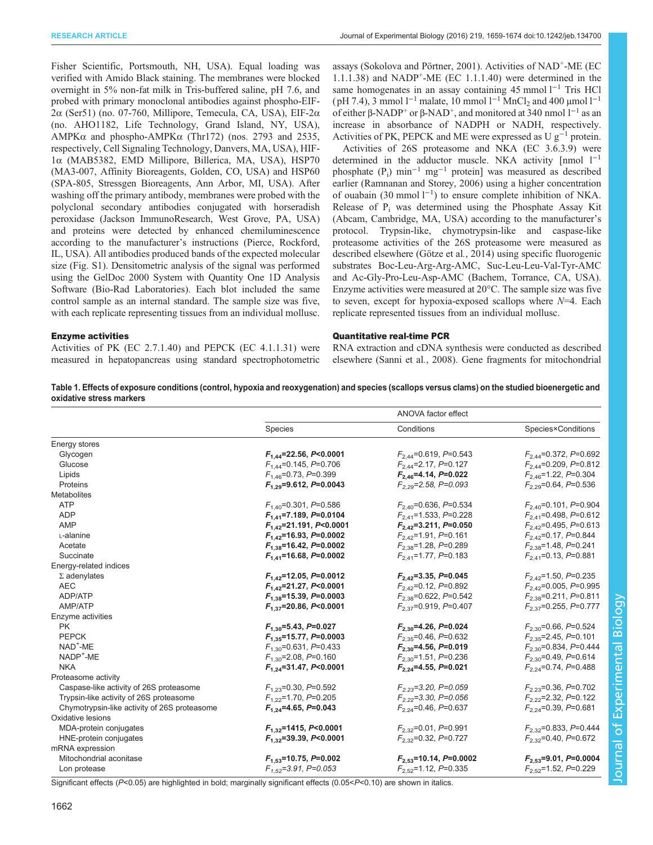<span id="page-3-0"></span>Fisher Scientific, Portsmouth, NH, USA). Equal loading was verified with Amido Black staining. The membranes were blocked overnight in 5% non-fat milk in Tris-buffered saline, pH 7.6, and probed with primary monoclonal antibodies against phospho-EIF-2α (Ser51) (no. 07-760, Millipore, Temecula, CA, USA), EIF-2α (no. AHO1182, Life Technology, Grand Island, NY, USA), AMPK $\alpha$  and phospho-AMPK $\alpha$  (Thr172) (nos. 2793 and 2535, respectively, Cell Signaling Technology, Danvers, MA, USA), HIF-1α (MAB5382, EMD Millipore, Billerica, MA, USA), HSP70 (MA3-007, Affinity Bioreagents, Golden, CO, USA) and HSP60 (SPA-805, Stressgen Bioreagents, Ann Arbor, MI, USA). After washing off the primary antibody, membranes were probed with the polyclonal secondary antibodies conjugated with horseradish peroxidase (Jackson ImmunoResearch, West Grove, PA, USA) and proteins were detected by enhanced chemiluminescence according to the manufacturer's instructions (Pierce, Rockford, IL, USA). All antibodies produced bands of the expected molecular size [\(Fig. S1](http://jeb.biologists.org/lookup/suppl/doi:10.1242/jeb.134700/-/DC1)). Densitometric analysis of the signal was performed using the GelDoc 2000 System with Quantity One 1D Analysis Software (Bio-Rad Laboratories). Each blot included the same control sample as an internal standard. The sample size was five, with each replicate representing tissues from an individual mollusc.

assays [\(Sokolova and Pörtner, 2001](#page-15-0)). Activities of NAD+-ME (EC 1.1.1.38) and NADP+-ME (EC 1.1.1.40) were determined in the same homogenates in an assay containing 45 mmol  $l^{-1}$  Tris HCl ( pH 7.4), 3 mmol l<sup>-1</sup> malate, 10 mmol l<sup>-1</sup> MnCl<sub>2</sub> and 400 µmol l<sup>-1</sup> of either β-NADP<sup>+</sup> or β-NAD<sup>+</sup>, and monitored at 340 nmol  $l^{-1}$  as an increase in absorbance of NADPH or NADH, respectively. Activities of PK, PEPCK and ME were expressed as U  $g^{-1}$  protein.

Activities of 26S proteasome and NKA (EC 3.6.3.9) were determined in the adductor muscle. NKA activity  $\lceil$ mmol  $\lceil$ <sup>-1</sup> phosphate  $(P_i)$  min<sup>-1</sup> mg<sup>-1</sup> protein] was measured as described earlier ([Ramnanan and Storey, 2006\)](#page-14-0) using a higher concentration of ouabain (30 mmol l−<sup>1</sup> ) to ensure complete inhibition of NKA. Release of Pi was determined using the Phosphate Assay Kit (Abcam, Cambridge, MA, USA) according to the manufacturer's protocol. Trypsin-like, chymotrypsin-like and caspase-like proteasome activities of the 26S proteasome were measured as described elsewhere [\(Götze et al](#page-14-0)., 2014) using specific fluorogenic substrates Boc-Leu-Arg-Arg-AMC, Suc-Leu-Leu-Val-Tyr-AMC and Ac-Gly-Pro-Leu-Asp-AMC (Bachem, Torrance, CA, USA). Enzyme activities were measured at 20°C. The sample size was five to seven, except for hypoxia-exposed scallops where  $N=4$ . Each replicate represented tissues from an individual mollusc.

#### Enzyme activities

Activities of PK (EC 2.7.1.40) and PEPCK (EC 4.1.1.31) were measured in hepatopancreas using standard spectrophotometric Quantitative real-time PCR

RNA extraction and cDNA synthesis were conducted as described elsewhere ([Sanni et al](#page-14-0)., 2008). Gene fragments for mitochondrial

> Journal of Experimental Biologyournal of Experimental Biology

Table 1. Effects of exposure conditions (control, hypoxia and reoxygenation) and species (scallops versus clams) on the studied bioenergetic and oxidative stress markers

|                                              |                              | ANOVA factor effect         |                            |  |
|----------------------------------------------|------------------------------|-----------------------------|----------------------------|--|
|                                              | Species                      | Conditions                  | Species×Conditions         |  |
| Energy stores                                |                              |                             |                            |  |
| Glycogen                                     | $F_{1,44}$ =22.56, P<0.0001  | $F_{2,44}$ =0.619, P=0.543  | $F_{2,44}$ =0.372, P=0.692 |  |
| Glucose                                      | $F_{1,44}$ =0.145, P=0.706   | $F_{2,44}$ =2.17, P=0.127   | $F_{2,44}$ =0.209, P=0.812 |  |
| Lipids                                       | $F_{1,46}$ =0.73, P=0.399    | $F_{2,46}$ =4.14, P=0.022   | $F_{2,46}$ =1.22, P=0.304  |  |
| Proteins                                     | $F_{1,29}$ =9.612, P=0.0043  | $F_{2,29}$ =2.58, P=0.093   | $F_{2,29}$ =0.64, P=0.536  |  |
| <b>Metabolites</b>                           |                              |                             |                            |  |
| <b>ATP</b>                                   | $F_{1,40}$ =0.301, P=0.586   | $F_{2,40}$ =0.636, P=0.534  | $F_{2,40}$ =0.101, P=0.904 |  |
| <b>ADP</b>                                   | $F_{1,41}$ =7.189, P=0.0104  | $F_{2,41}$ =1.533, P=0.228  | $F_{2,41}$ =0.498, P=0.612 |  |
| <b>AMP</b>                                   | $F_{1,42}$ =21.191, P<0.0001 | $F_{2,42}$ =3.211, P=0.050  | $F_{2.42}$ =0.495, P=0.613 |  |
| L-alanine                                    | $F_{1,42}$ =16.93, P=0.0002  | $F_{2.42}$ =1.91, P=0.161   | $F_{2.42}$ =0.17, P=0.844  |  |
| Acetate                                      | $F_{1,38}$ =16.42, P=0.0002  | $F_{2,38}$ =1.28, P=0.289   | $F_{2,38}$ =1.48, P=0.241  |  |
| Succinate                                    | $F_{1,41}$ =16.68, P=0.0002  | $F_{2,41}$ =1.77, P=0.183   | $F_{2,41}$ =0.13, P=0.881  |  |
| Energy-related indices                       |                              |                             |                            |  |
| $\Sigma$ adenylates                          | $F_{1.42}$ =12.05, P=0.0012  | $F_{2,42}$ =3.35, P=0.045   | $F_{2,42}$ =1.50, P=0.235  |  |
| <b>AEC</b>                                   | $F_{1,42}$ =21.27, P<0.0001  | $F_{2.42}$ =0.12, P=0.892   | $F_{2,42}$ =0.005, P=0.995 |  |
| ADP/ATP                                      | $F_{1.38}$ =15.39, P=0.0003  | $F_{2,38}$ =0.622, P=0.542  | $F_{2.38}$ =0.211, P=0.811 |  |
| AMP/ATP                                      | $F_{1,37}$ =20.86, P<0.0001  | $F_{2,37}$ =0.919, P=0.407  | $F_{2,37}$ =0.255, P=0.777 |  |
| Enzyme activities                            |                              |                             |                            |  |
| <b>PK</b>                                    | $F_{1,30}$ =5.43, P=0.027    | $F_{2,30}$ =4.26, P=0.024   | $F_{2,30}$ =0.66, P=0.524  |  |
| <b>PEPCK</b>                                 | $F_{1.35}$ =15.77, P=0.0003  | $F_{2,35}$ =0.46, P=0.632   | $F_{2,35}$ =2.45, P=0.101  |  |
| $NAD^+$ -ME                                  | $F_{1,30}$ =0.631, P=0.433   | $F_{2,30}$ =4.56, P=0.019   | $F_{2,30}$ =0.834, P=0.444 |  |
| NADP <sup>+</sup> -ME                        | $F_{1,30}$ =2.08, P=0.160    | $F_{2,30}$ =1.51, P=0.236   | $F_{2,30}$ =0.49, P=0.614  |  |
| <b>NKA</b>                                   | $F_{1,24}$ =31.47, P<0.0001  | $F_{2,24}$ =4.55, P=0.021   | $F_{2,24}$ =0.74, P=0.488  |  |
| Proteasome activity                          |                              |                             |                            |  |
| Caspase-like activity of 26S proteasome      | $F_{1,23}$ =0.30, P=0.592    | $F_{2,23}$ =3.20, P=0.059   | $F_{2,23}$ =0.36, P=0.702  |  |
| Trypsin-like activity of 26S proteasome      | $F_{1,22}$ =1.70, P=0.205    | $F_{2,22}$ =3.30, P=0.056   | $F_{2,22}$ =2.32, P=0.122  |  |
| Chymotrypsin-like activity of 26S proteasome | $F_{1,24}$ =4.65, P=0.043    | $F_{2,24}$ =0.46, P=0.637   | $F_{2,24}$ =0.39, P=0.681  |  |
| Oxidative lesions                            |                              |                             |                            |  |
| MDA-protein conjugates                       | $F_{1,32}$ =1415, P<0.0001   | $F_{2,32}$ =0.01, P=0.991   | $F_{2,32}$ =0.833, P=0.444 |  |
| HNE-protein conjugates                       | $F_{1,32}$ =39.39, P<0.0001  | $F_{2,32}$ =0.32, P=0.727   | $F_{2,32}$ =0.40, P=0.672  |  |
| mRNA expression                              |                              |                             |                            |  |
| Mitochondrial aconitase                      | $F_{1.53}$ =10.75, P=0.002   | $F_{2.53}$ =10.14, P=0.0002 | $F_{2.53}$ =9.01, P=0.0004 |  |
| Lon protease                                 | $F_{1.52}$ =3.91, P=0.053    | $F_{2.52}$ =1.12, P=0.335   | $F_{2.52}$ =1.52, P=0.229  |  |

Significant effects ( $P<0.05$ ) are highlighted in bold; marginally significant effects ( $0.05 < P < 0.10$ ) are shown in italics.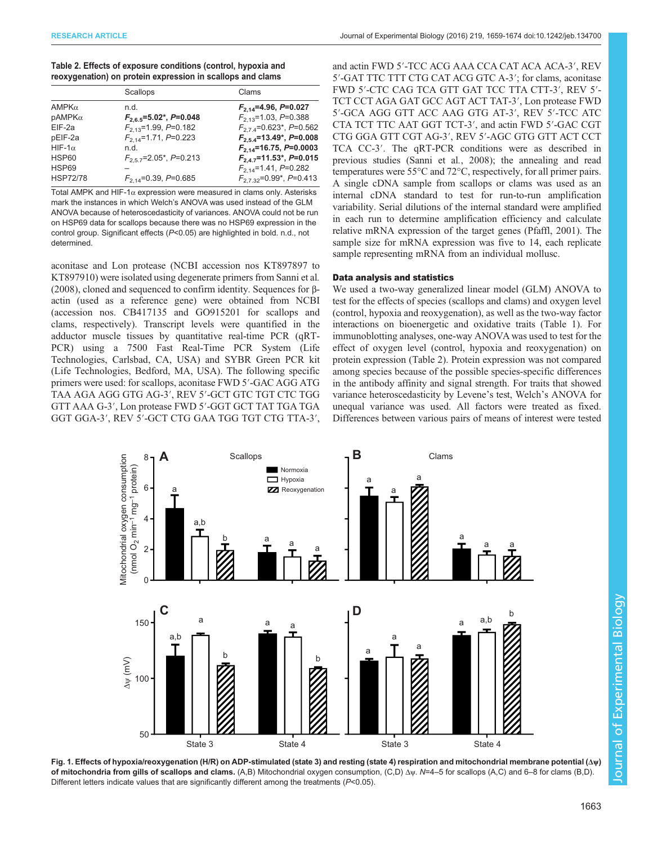<span id="page-4-0"></span>

| Table 2. Effects of exposure conditions (control, hypoxia and |  |
|---------------------------------------------------------------|--|
| reoxygenation) on protein expression in scallops and clams    |  |

|                 | Scallops                    | Clams                                               |
|-----------------|-----------------------------|-----------------------------------------------------|
| AMPK $\alpha$   | n.d.                        | $F_{2,14}$ =4.96, P=0.027                           |
| pAMPKα          | $F_{2.6.5}$ =5.02*, P=0.048 | $F_{2.13}$ =1.03, P=0.388                           |
| $EIF-2a$        | $F_{2,13}$ =1.99, P=0.182   | $F_{27.4}$ =0.623*, P=0.562                         |
| pEIF-2a         | $F_{2,14}$ =1.71, P=0.223   | $F_{2.5.4}$ =13.49*, P=0.008                        |
| HIF-1 $\alpha$  | n.d.                        | $F_{2,14}$ =16.75, P=0.0003                         |
| HSP60           | $F_{2.57}$ =2.05*, P=0.213  | $F_{24}$ <sub>7</sub> =11.53 <sup>*</sup> , P=0.015 |
| HSP69           |                             | $F_{2,14}$ =1.41, P=0.282                           |
| <b>HSP72/78</b> | $F_{2,14}$ =0.39, P=0.685   | $F_{2732}$ =0.99 <sup>*</sup> , P=0.413             |

Total AMPK and HIF-1 $\alpha$  expression were measured in clams only. Asterisks mark the instances in which Welch's ANOVA was used instead of the GLM ANOVA because of heteroscedasticity of variances. ANOVA could not be run on HSP69 data for scallops because there was no HSP69 expression in the control group. Significant effects (P<0.05) are highlighted in bold. n.d., not determined.

aconitase and Lon protease (NCBI accession nos KT897897 to KT897910) were isolated using degenerate primers from [Sanni et al](#page-14-0). [\(2008\)](#page-14-0), cloned and sequenced to confirm identity. Sequences for βactin (used as a reference gene) were obtained from NCBI (accession nos. CB417135 and GO915201 for scallops and clams, respectively). Transcript levels were quantified in the adductor muscle tissues by quantitative real-time PCR (qRT-PCR) using a 7500 Fast Real-Time PCR System (Life Technologies, Carlsbad, CA, USA) and SYBR Green PCR kit (Life Technologies, Bedford, MA, USA). The following specific primers were used: for scallops, aconitase FWD 5′-GAC AGG ATG TAA AGA AGG GTG AG-3′, REV 5′-GCT GTC TGT CTC TGG GTT AAA G-3′, Lon protease FWD 5′-GGT GCT TAT TGA TGA GGT GGA-3′, REV 5′-GCT CTG GAA TGG TGT CTG TTA-3′,

and actin FWD 5′-TCC ACG AAA CCA CAT ACA ACA-3′, REV 5′-GAT TTC TTT CTG CAT ACG GTC A-3′; for clams, aconitase FWD 5′-CTC CAG TCA GTT GAT TCC TTA CTT-3′, REV 5′- TCT CCT AGA GAT GCC AGT ACT TAT-3′, Lon protease FWD 5′-GCA AGG GTT ACC AAG GTG AT-3′, REV 5′-TCC ATC CTA TCT TTC AAT GGT TCT-3′, and actin FWD 5′-GAC CGT CTG GGA GTT CGT AG-3′, REV 5′-AGC GTG GTT ACT CCT TCA CC-3′. The qRT-PCR conditions were as described in previous studies [\(Sanni et al](#page-14-0)., 2008); the annealing and read temperatures were 55°C and 72°C, respectively, for all primer pairs. A single cDNA sample from scallops or clams was used as an internal cDNA standard to test for run-to-run amplification variability. Serial dilutions of the internal standard were amplified in each run to determine amplification efficiency and calculate relative mRNA expression of the target genes ([Pfaffl, 2001\)](#page-14-0). The sample size for mRNA expression was five to 14, each replicate sample representing mRNA from an individual mollusc.

# Data analysis and statistics

We used a two-way generalized linear model (GLM) ANOVA to test for the effects of species (scallops and clams) and oxygen level (control, hypoxia and reoxygenation), as well as the two-way factor interactions on bioenergetic and oxidative traits [\(Table 1\)](#page-3-0). For immunoblotting analyses, one-way ANOVA was used to test for the effect of oxygen level (control, hypoxia and reoxygenation) on protein expression (Table 2). Protein expression was not compared among species because of the possible species-specific differences in the antibody affinity and signal strength. For traits that showed variance heteroscedasticity by Levene's test, Welch's ANOVA for unequal variance was used. All factors were treated as fixed. Differences between various pairs of means of interest were tested



Fig. 1. Effects of hypoxia/reoxygenation (H/R) on ADP-stimulated (state 3) and resting (state 4) respiration and mitochondrial membrane potential (Δψ) of mitochondria from gills of scallops and clams. (A,B) Mitochondrial oxygen consumption, (C,D) Δψ. N=4–5 for scallops (A,C) and 6–8 for clams (B,D). Different letters indicate values that are significantly different among the treatments (P<0.05).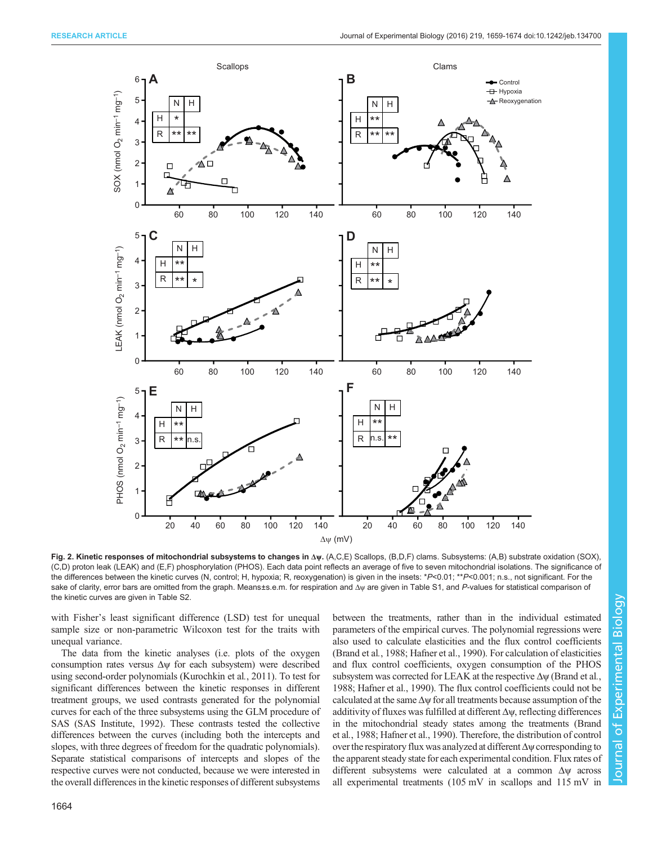<span id="page-5-0"></span>

Fig. 2. Kinetic responses of mitochondrial subsystems to changes in Δψ. (A,C,E) Scallops, (B,D,F) clams. Subsystems: (A,B) substrate oxidation (SOX), (C,D) proton leak (LEAK) and (E,F) phosphorylation (PHOS). Each data point reflects an average of five to seven mitochondrial isolations. The significance of the differences between the kinetic curves (N, control; H, hypoxia; R, reoxygenation) is given in the insets: \*P<0.01; \*\*P<0.001; n.s., not significant. For the sake of clarity, error bars are omitted from the graph. Means±s.e.m. for respiration and Δψ are given in [Table S1](http://jeb.biologists.org/lookup/suppl/doi:10.1242/jeb.134700/-/DC1), and P-values for statistical comparison of the kinetic curves are given in [Table S2.](http://jeb.biologists.org/lookup/suppl/doi:10.1242/jeb.134700/-/DC1)

with Fisher's least significant difference (LSD) test for unequal sample size or non-parametric Wilcoxon test for the traits with unequal variance.

The data from the kinetic analyses (i.e. plots of the oxygen consumption rates versus  $\Delta \psi$  for each subsystem) were described using second-order polynomials ([Kurochkin et al](#page-14-0)., 2011). To test for significant differences between the kinetic responses in different treatment groups, we used contrasts generated for the polynomial curves for each of the three subsystems using the GLM procedure of SAS [\(SAS Institute, 1992\)](#page-15-0). These contrasts tested the collective differences between the curves (including both the intercepts and slopes, with three degrees of freedom for the quadratic polynomials). Separate statistical comparisons of intercepts and slopes of the respective curves were not conducted, because we were interested in the overall differences in the kinetic responses of different subsystems between the treatments, rather than in the individual estimated parameters of the empirical curves. The polynomial regressions were also used to calculate elasticities and the flux control coefficients [\(Brand et al](#page-13-0)., 1988; [Hafner et al., 1990](#page-14-0)). For calculation of elasticities and flux control coefficients, oxygen consumption of the PHOS subsystem was corrected for LEAK at the respective  $\Delta \psi$  ([Brand et al](#page-13-0)., [1988;](#page-13-0) [Hafner et al., 1990\)](#page-14-0). The flux control coefficients could not be calculated at the same  $\Delta \psi$  for all treatments because assumption of the additivity of fluxes was fulfilled at different  $\Delta \psi$ , reflecting differences in the mitochondrial steady states among the treatments [\(Brand](#page-13-0) et al.[, 1988](#page-13-0); [Hafner et al., 1990](#page-14-0)). Therefore, the distribution of control over the respiratory flux was analyzed at different  $\Delta \psi$  corresponding to the apparent steady state for each experimental condition. Flux rates of different subsystems were calculated at a common Δψ across all experimental treatments (105 mV in scallops and 115 mV in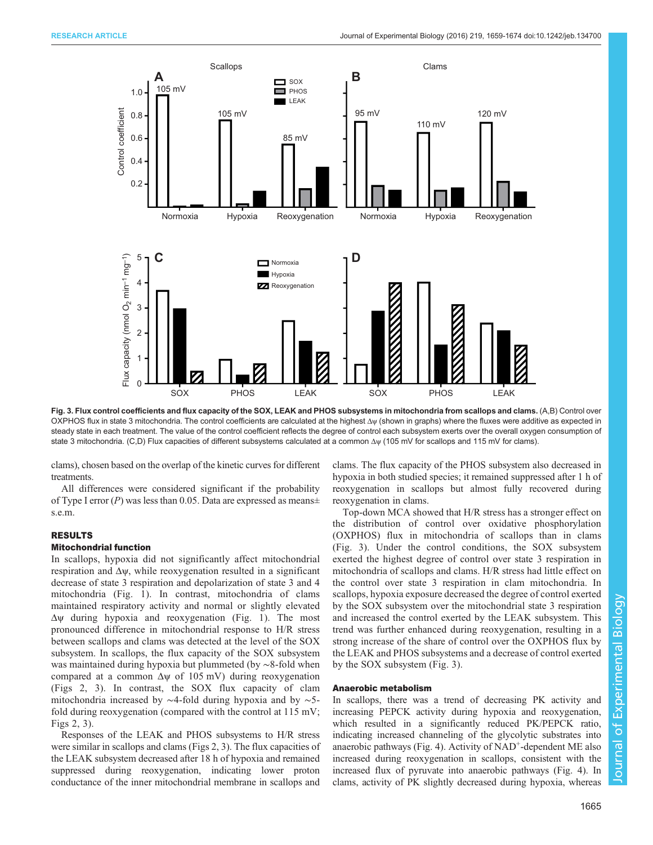

Fig. 3. Flux control coefficients and flux capacity of the SOX, LEAK and PHOS subsystems in mitochondria from scallops and clams. (A,B) Control over OXPHOS flux in state 3 mitochondria. The control coefficients are calculated at the highest Δψ (shown in graphs) where the fluxes were additive as expected in steady state in each treatment. The value of the control coefficient reflects the degree of control each subsystem exerts over the overall oxygen consumption of state 3 mitochondria. (C,D) Flux capacities of different subsystems calculated at a common Δψ (105 mV for scallops and 115 mV for clams).

clams), chosen based on the overlap of the kinetic curves for different treatments.

All differences were considered significant if the probability of Type I error  $(P)$  was less than 0.05. Data are expressed as means $\pm$ s.e.m.

# RESULTS

## Mitochondrial function

In scallops, hypoxia did not significantly affect mitochondrial respiration and  $\Delta \psi$ , while reoxygenation resulted in a significant decrease of state 3 respiration and depolarization of state 3 and 4 mitochondria ([Fig. 1\)](#page-4-0). In contrast, mitochondria of clams maintained respiratory activity and normal or slightly elevated Δψ during hypoxia and reoxygenation ([Fig. 1\)](#page-4-0). The most pronounced difference in mitochondrial response to H/R stress between scallops and clams was detected at the level of the SOX subsystem. In scallops, the flux capacity of the SOX subsystem was maintained during hypoxia but plummeted (by ∼8-fold when compared at a common Δψ of 105 mV) during reoxygenation [\(Figs 2,](#page-5-0) 3). In contrast, the SOX flux capacity of clam mitochondria increased by ∼4-fold during hypoxia and by ∼5 fold during reoxygenation (compared with the control at 115 mV; [Figs 2](#page-5-0), 3).

Responses of the LEAK and PHOS subsystems to H/R stress were similar in scallops and clams [\(Figs 2](#page-5-0), 3). The flux capacities of the LEAK subsystem decreased after 18 h of hypoxia and remained suppressed during reoxygenation, indicating lower proton conductance of the inner mitochondrial membrane in scallops and

clams. The flux capacity of the PHOS subsystem also decreased in hypoxia in both studied species; it remained suppressed after 1 h of reoxygenation in scallops but almost fully recovered during reoxygenation in clams.

Top-down MCA showed that H/R stress has a stronger effect on the distribution of control over oxidative phosphorylation (OXPHOS) flux in mitochondria of scallops than in clams (Fig. 3). Under the control conditions, the SOX subsystem exerted the highest degree of control over state 3 respiration in mitochondria of scallops and clams. H/R stress had little effect on the control over state 3 respiration in clam mitochondria. In scallops, hypoxia exposure decreased the degree of control exerted by the SOX subsystem over the mitochondrial state 3 respiration and increased the control exerted by the LEAK subsystem. This trend was further enhanced during reoxygenation, resulting in a strong increase of the share of control over the OXPHOS flux by the LEAK and PHOS subsystems and a decrease of control exerted by the SOX subsystem (Fig. 3).

## Anaerobic metabolism

In scallops, there was a trend of decreasing PK activity and increasing PEPCK activity during hypoxia and reoxygenation, which resulted in a significantly reduced PK/PEPCK ratio, indicating increased channeling of the glycolytic substrates into anaerobic pathways ([Fig. 4\)](#page-7-0). Activity of NAD<sup>+</sup>-dependent ME also increased during reoxygenation in scallops, consistent with the increased flux of pyruvate into anaerobic pathways [\(Fig. 4](#page-7-0)). In clams, activity of PK slightly decreased during hypoxia, whereas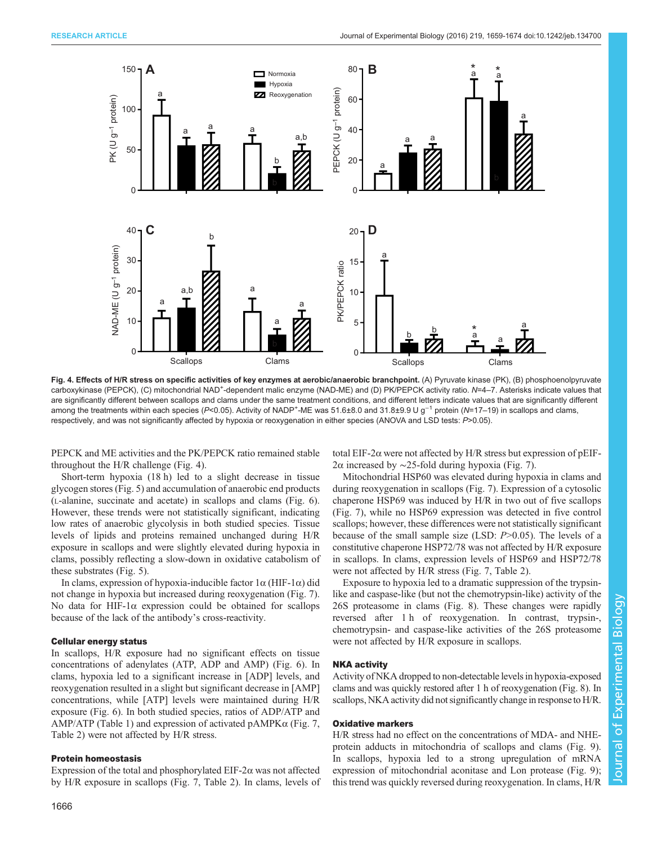<span id="page-7-0"></span>

Fig. 4. Effects of H/R stress on specific activities of key enzymes at aerobic/anaerobic branchpoint. (A) Pyruvate kinase (PK), (B) phosphoenolpyruvate carboxykinase (PEPCK), (C) mitochondrial NAD<sup>+</sup>-dependent malic enzyme (NAD-ME) and (D) PK/PEPCK activity ratio. N=4–7. Asterisks indicate values that are significantly different between scallops and clams under the same treatment conditions, and different letters indicate values that are significantly different among the treatments within each species (P<0.05). Activity of NADP<sup>+</sup>-ME was 51.6±8.0 and 31.8±9.9 U g<sup>-1</sup> protein (N=17–19) in scallops and clams, respectively, and was not significantly affected by hypoxia or reoxygenation in either species (ANOVA and LSD tests: P>0.05).

PEPCK and ME activities and the PK/PEPCK ratio remained stable throughout the H/R challenge (Fig. 4).

Short-term hypoxia (18 h) led to a slight decrease in tissue glycogen stores ([Fig. 5](#page-8-0)) and accumulation of anaerobic end products (L-alanine, succinate and acetate) in scallops and clams [\(Fig. 6\)](#page-9-0). However, these trends were not statistically significant, indicating low rates of anaerobic glycolysis in both studied species. Tissue levels of lipids and proteins remained unchanged during H/R exposure in scallops and were slightly elevated during hypoxia in clams, possibly reflecting a slow-down in oxidative catabolism of these substrates [\(Fig. 5\)](#page-8-0).

In clams, expression of hypoxia-inducible factor 1α (HIF-1α) did not change in hypoxia but increased during reoxygenation [\(Fig. 7\)](#page-10-0). No data for HIF-1α expression could be obtained for scallops because of the lack of the antibody's cross-reactivity.

#### Cellular energy status

In scallops, H/R exposure had no significant effects on tissue concentrations of adenylates (ATP, ADP and AMP) [\(Fig. 6\)](#page-9-0). In clams, hypoxia led to a significant increase in [ADP] levels, and reoxygenation resulted in a slight but significant decrease in [AMP] concentrations, while [ATP] levels were maintained during H/R exposure ([Fig. 6](#page-9-0)). In both studied species, ratios of ADP/ATP and AMP/ATP ([Table 1](#page-3-0)) and expression of activated  $pAMPK\alpha$  [\(Fig. 7,](#page-10-0) [Table 2\)](#page-4-0) were not affected by H/R stress.

#### Protein homeostasis

Expression of the total and phosphorylated EIF-2 $\alpha$  was not affected by H/R exposure in scallops [\(Fig. 7,](#page-10-0) [Table 2](#page-4-0)). In clams, levels of total EIF-2α were not affected by H/R stress but expression of pEIF-2α increased by ∼25-fold during hypoxia [\(Fig. 7\)](#page-10-0).

Mitochondrial HSP60 was elevated during hypoxia in clams and during reoxygenation in scallops [\(Fig. 7](#page-10-0)). Expression of a cytosolic chaperone HSP69 was induced by H/R in two out of five scallops [\(Fig. 7](#page-10-0)), while no HSP69 expression was detected in five control scallops; however, these differences were not statistically significant because of the small sample size (LSD:  $P > 0.05$ ). The levels of a constitutive chaperone HSP72/78 was not affected by H/R exposure in scallops. In clams, expression levels of HSP69 and HSP72/78 were not affected by H/R stress ([Fig. 7,](#page-10-0) [Table 2\)](#page-4-0).

Exposure to hypoxia led to a dramatic suppression of the trypsinlike and caspase-like (but not the chemotrypsin-like) activity of the 26S proteasome in clams ([Fig. 8\)](#page-11-0). These changes were rapidly reversed after 1 h of reoxygenation. In contrast, trypsin-, chemotrypsin- and caspase-like activities of the 26S proteasome were not affected by H/R exposure in scallops.

# NKA activity

Activity of NKA dropped to non-detectable levels in hypoxia-exposed clams and was quickly restored after 1 h of reoxygenation [\(Fig. 8\)](#page-11-0). In scallops, NKA activity did not significantly change in responseto H/R.

## Oxidative markers

H/R stress had no effect on the concentrations of MDA- and NHEprotein adducts in mitochondria of scallops and clams ([Fig. 9\)](#page-12-0). In scallops, hypoxia led to a strong upregulation of mRNA expression of mitochondrial aconitase and Lon protease [\(Fig. 9](#page-12-0)); this trend was quickly reversed during reoxygenation. In clams, H/R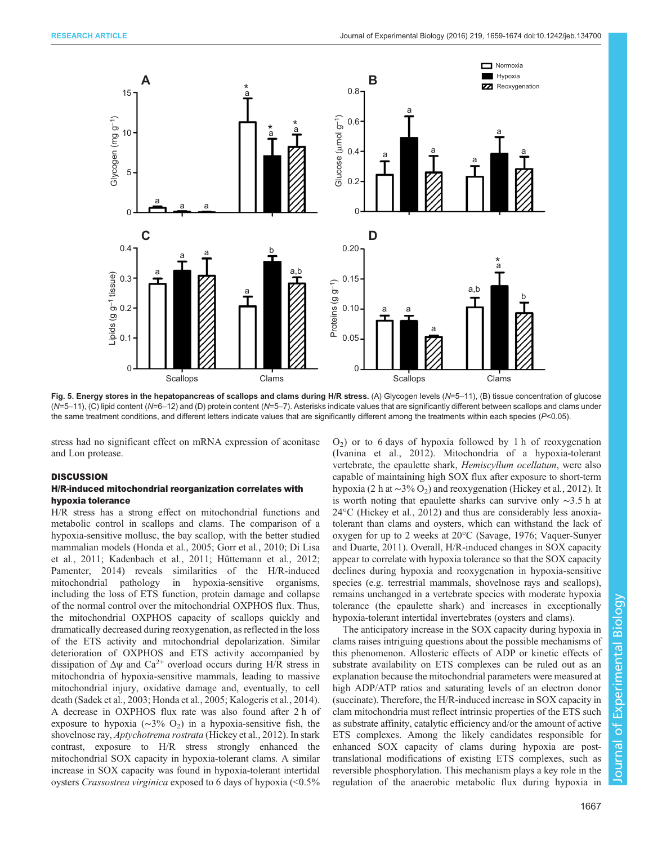<span id="page-8-0"></span>

Fig. 5. Energy stores in the hepatopancreas of scallops and clams during H/R stress. (A) Glycogen levels (N=5–11), (B) tissue concentration of glucose  $(N=5-11)$ , (C) lipid content (N=6–12) and (D) protein content (N=5–7). Asterisks indicate values that are significantly different between scallops and clams under the same treatment conditions, and different letters indicate values that are significantly different among the treatments within each species  $(P<0.05)$ .

stress had no significant effect on mRNA expression of aconitase and Lon protease.

## **DISCUSSION**

## H/R-induced mitochondrial reorganization correlates with hypoxia tolerance

H/R stress has a strong effect on mitochondrial functions and metabolic control in scallops and clams. The comparison of a hypoxia-sensitive mollusc, the bay scallop, with the better studied mammalian models [\(Honda et al](#page-14-0)., 2005; [Gorr et al](#page-14-0)., 2010; [Di Lisa](#page-14-0) et al.[, 2011; Kadenbach et al](#page-14-0)., 2011; [Hüttemann et al](#page-14-0)., 2012; [Pamenter, 2014](#page-14-0)) reveals similarities of the H/R-induced mitochondrial pathology in hypoxia-sensitive organisms, including the loss of ETS function, protein damage and collapse of the normal control over the mitochondrial OXPHOS flux. Thus, the mitochondrial OXPHOS capacity of scallops quickly and dramatically decreased during reoxygenation, as reflected in the loss of the ETS activity and mitochondrial depolarization. Similar deterioration of OXPHOS and ETS activity accompanied by dissipation of  $\Delta \psi$  and  $Ca^{2+}$  overload occurs during H/R stress in mitochondria of hypoxia-sensitive mammals, leading to massive mitochondrial injury, oxidative damage and, eventually, to cell death [\(Sadek et al](#page-14-0)., 2003; [Honda et al](#page-14-0)., 2005; [Kalogeris et al](#page-14-0)., 2014). A decrease in OXPHOS flux rate was also found after 2 h of exposure to hypoxia ( $\sim$ 3% O<sub>2</sub>) in a hypoxia-sensitive fish, the shovelnose ray, Aptychotrema rostrata ([Hickey et al](#page-14-0)., 2012). In stark contrast, exposure to H/R stress strongly enhanced the mitochondrial SOX capacity in hypoxia-tolerant clams. A similar increase in SOX capacity was found in hypoxia-tolerant intertidal oysters Crassostrea virginica exposed to 6 days of hypoxia (<0.5%  $O<sub>2</sub>$ ) or to 6 days of hypoxia followed by 1 h of reoxygenation [\(Ivanina et al](#page-14-0)., 2012). Mitochondria of a hypoxia-tolerant vertebrate, the epaulette shark, Hemiscyllum ocellatum, were also capable of maintaining high SOX flux after exposure to short-term hypoxia (2 h at ∼3% O2) and reoxygenation ([Hickey et al](#page-14-0)., 2012). It is worth noting that epaulette sharks can survive only ∼3.5 h at 24°C ([Hickey et al](#page-14-0)., 2012) and thus are considerably less anoxiatolerant than clams and oysters, which can withstand the lack of oxygen for up to 2 weeks at 20°C ([Savage, 1976](#page-15-0); [Vaquer-Sunyer](#page-15-0) [and Duarte, 2011](#page-15-0)). Overall, H/R-induced changes in SOX capacity appear to correlate with hypoxia tolerance so that the SOX capacity declines during hypoxia and reoxygenation in hypoxia-sensitive species (e.g. terrestrial mammals, shovelnose rays and scallops), remains unchanged in a vertebrate species with moderate hypoxia tolerance (the epaulette shark) and increases in exceptionally hypoxia-tolerant intertidal invertebrates (oysters and clams).

The anticipatory increase in the SOX capacity during hypoxia in clams raises intriguing questions about the possible mechanisms of this phenomenon. Allosteric effects of ADP or kinetic effects of substrate availability on ETS complexes can be ruled out as an explanation because the mitochondrial parameters were measured at high ADP/ATP ratios and saturating levels of an electron donor (succinate). Therefore, the H/R-induced increase in SOX capacity in clam mitochondria must reflect intrinsic properties of the ETS such as substrate affinity, catalytic efficiency and/or the amount of active ETS complexes. Among the likely candidates responsible for enhanced SOX capacity of clams during hypoxia are posttranslational modifications of existing ETS complexes, such as reversible phosphorylation. This mechanism plays a key role in the regulation of the anaerobic metabolic flux during hypoxia in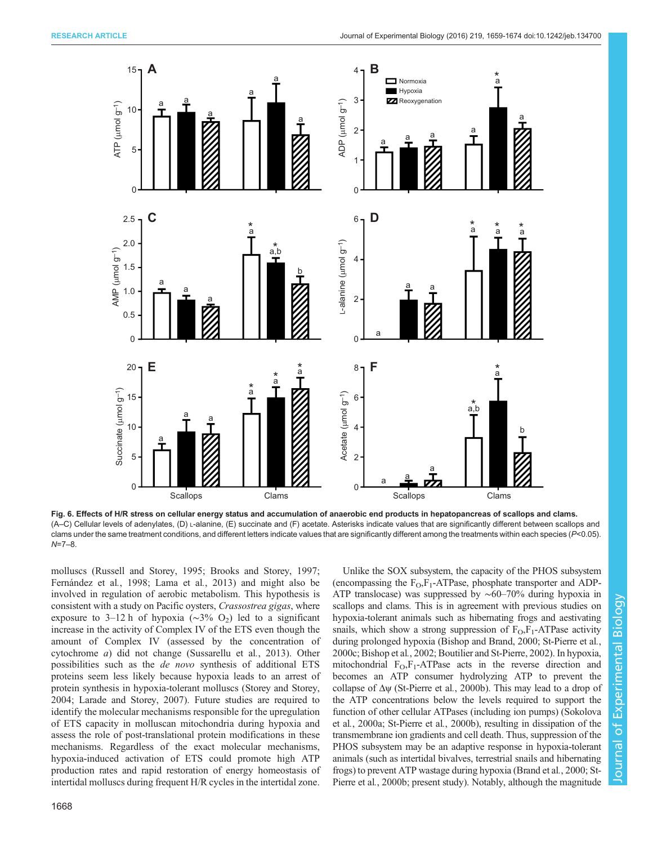<span id="page-9-0"></span>

Fig. 6. Effects of H/R stress on cellular energy status and accumulation of anaerobic end products in hepatopancreas of scallops and clams. (A–C) Cellular levels of adenylates, (D) L-alanine, (E) succinate and (F) acetate. Asterisks indicate values that are significantly different between scallops and clams under the same treatment conditions, and different letters indicate values that are significantly different among the treatments within each species  $(P< 0.05)$ . N=7–8.

molluscs [\(Russell and Storey, 1995;](#page-14-0) [Brooks and Storey, 1997](#page-13-0); [Fernández et al](#page-14-0)., 1998; [Lama et al](#page-14-0)., 2013) and might also be involved in regulation of aerobic metabolism. This hypothesis is consistent with a study on Pacific oysters, Crassostrea gigas, where exposure to 3–12 h of hypoxia ( $\sim$ 3% O<sub>2</sub>) led to a significant increase in the activity of Complex IV of the ETS even though the amount of Complex IV (assessed by the concentration of cytochrome a) did not change [\(Sussarellu et al](#page-15-0)., 2013). Other possibilities such as the de novo synthesis of additional ETS proteins seem less likely because hypoxia leads to an arrest of protein synthesis in hypoxia-tolerant molluscs ([Storey and Storey,](#page-15-0) [2004](#page-15-0); [Larade and Storey, 2007\)](#page-14-0). Future studies are required to identify the molecular mechanisms responsible for the upregulation of ETS capacity in molluscan mitochondria during hypoxia and assess the role of post-translational protein modifications in these mechanisms. Regardless of the exact molecular mechanisms, hypoxia-induced activation of ETS could promote high ATP production rates and rapid restoration of energy homeostasis of intertidal molluscs during frequent H/R cycles in the intertidal zone.

(encompassing the  $F_O$ ,  $F_I$ -ATPase, phosphate transporter and ADP-ATP translocase) was suppressed by ∼60–70% during hypoxia in scallops and clams. This is in agreement with previous studies on hypoxia-tolerant animals such as hibernating frogs and aestivating snails, which show a strong suppression of  $F_{\text{O}}$ ,  $F_1$ -ATPase activity during prolonged hypoxia ([Bishop and Brand, 2000](#page-13-0); [St-Pierre et al](#page-15-0)., [2000c;](#page-15-0) [Bishop et al](#page-13-0)., 2002; [Boutilier and St-Pierre, 2002](#page-13-0)). In hypoxia, mitochondrial  $F_0$ ,  $F_1$ -ATPase acts in the reverse direction and becomes an ATP consumer hydrolyzing ATP to prevent the collapse of  $\Delta \psi$  [\(St-Pierre et al](#page-15-0)., 2000b). This may lead to a drop of the ATP concentrations below the levels required to support the function of other cellular ATPases (including ion pumps) [\(Sokolova](#page-15-0) et al.[, 2000a](#page-15-0); [St-Pierre et al](#page-15-0)., 2000b), resulting in dissipation of the transmembrane ion gradients and cell death. Thus, suppression of the PHOS subsystem may be an adaptive response in hypoxia-tolerant animals (such as intertidal bivalves, terrestrial snails and hibernating frogs) to prevent ATP wastage during hypoxia [\(Brand et al](#page-13-0)., 2000; [St-](#page-15-0)[Pierre et al](#page-15-0)., 2000b; present study). Notably, although the magnitude

Unlike the SOX subsystem, the capacity of the PHOS subsystem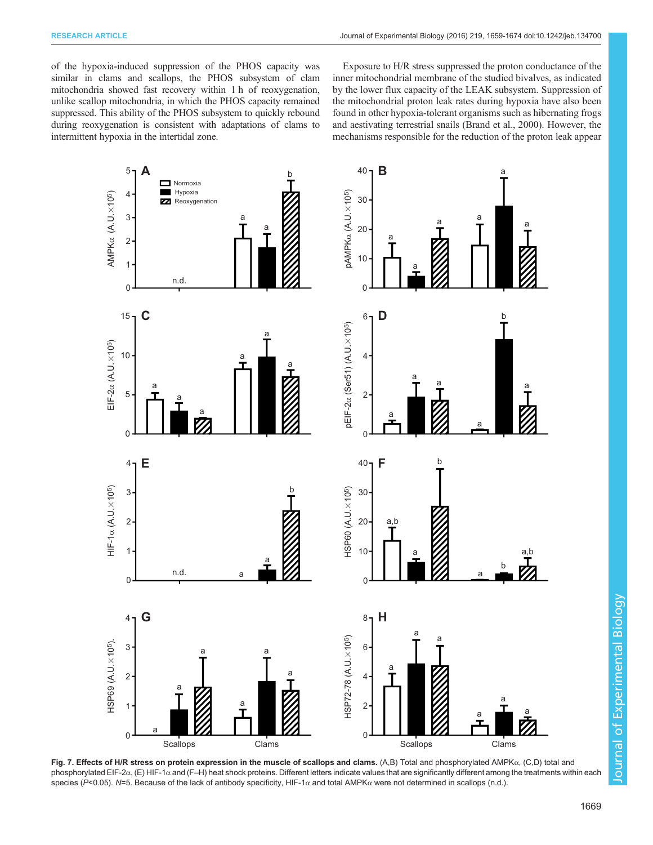<span id="page-10-0"></span>of the hypoxia-induced suppression of the PHOS capacity was similar in clams and scallops, the PHOS subsystem of clam mitochondria showed fast recovery within 1 h of reoxygenation, unlike scallop mitochondria, in which the PHOS capacity remained suppressed. This ability of the PHOS subsystem to quickly rebound during reoxygenation is consistent with adaptations of clams to intermittent hypoxia in the intertidal zone.

Exposure to H/R stress suppressed the proton conductance of the inner mitochondrial membrane of the studied bivalves, as indicated by the lower flux capacity of the LEAK subsystem. Suppression of the mitochondrial proton leak rates during hypoxia have also been found in other hypoxia-tolerant organisms such as hibernating frogs and aestivating terrestrial snails ([Brand et al](#page-13-0)., 2000). However, the mechanisms responsible for the reduction of the proton leak appear



Fig. 7. Effects of H/R stress on protein expression in the muscle of scallops and clams. (A,B) Total and phosphorylated AMPKα, (C,D) total and phosphorylated EIF-2α, (E) HIF-1α and (F–H) heat shock proteins. Different letters indicate values that are significantly different among the treatments within each species (P<0.05). N=5. Because of the lack of antibody specificity, HIF-1 $\alpha$  and total AMPK $\alpha$  were not determined in scallops (n.d.).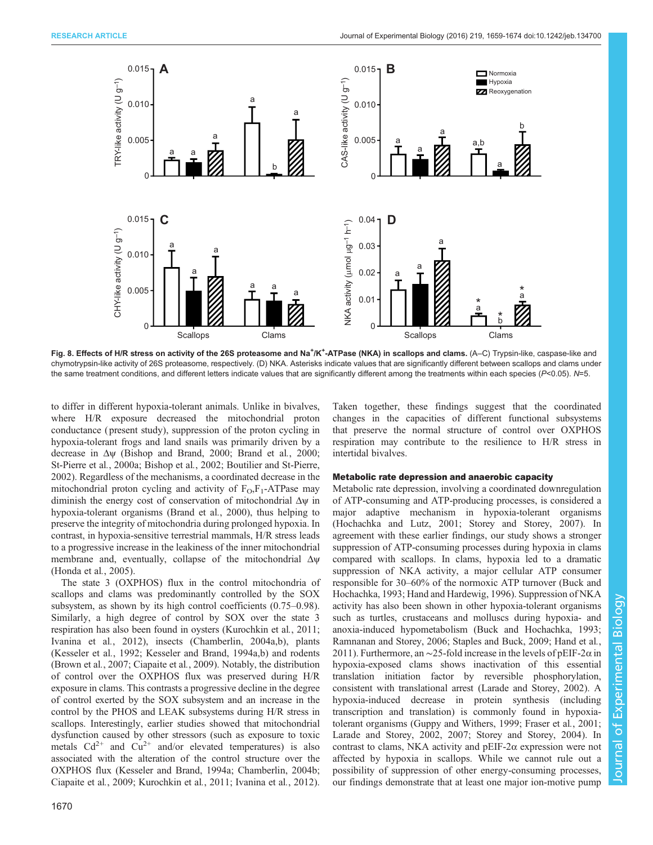<span id="page-11-0"></span>

Fig. 8. Effects of H/R stress on activity of the 26S proteasome and Na<sup>+</sup>/K<sup>+</sup>-ATPase (NKA) in scallops and clams. (A–C) Trypsin-like, caspase-like and chymotrypsin-like activity of 26S proteasome, respectively. (D) NKA. Asterisks indicate values that are significantly different between scallops and clams under the same treatment conditions, and different letters indicate values that are significantly different among the treatments within each species (P<0.05). N=5.

to differ in different hypoxia-tolerant animals. Unlike in bivalves, where H/R exposure decreased the mitochondrial proton conductance ( present study), suppression of the proton cycling in hypoxia-tolerant frogs and land snails was primarily driven by a decrease in Δψ [\(Bishop and Brand, 2000; Brand et al](#page-13-0)., 2000; [St-Pierre et al](#page-15-0)., 2000a; [Bishop et al](#page-13-0)., 2002; [Boutilier and St-Pierre,](#page-13-0) [2002](#page-13-0)). Regardless of the mechanisms, a coordinated decrease in the mitochondrial proton cycling and activity of  $F_0$ ,  $F_1$ -ATPase may diminish the energy cost of conservation of mitochondrial Δψ in hypoxia-tolerant organisms ([Brand et al](#page-13-0)., 2000), thus helping to preserve the integrity of mitochondria during prolonged hypoxia. In contrast, in hypoxia-sensitive terrestrial mammals, H/R stress leads to a progressive increase in the leakiness of the inner mitochondrial membrane and, eventually, collapse of the mitochondrial Δψ [\(Honda et al](#page-14-0)., 2005).

The state 3 (OXPHOS) flux in the control mitochondria of scallops and clams was predominantly controlled by the SOX subsystem, as shown by its high control coefficients (0.75–0.98). Similarly, a high degree of control by SOX over the state 3 respiration has also been found in oysters ([Kurochkin et al](#page-14-0)., 2011; [Ivanina et al](#page-14-0)., 2012), insects [\(Chamberlin, 2004a](#page-13-0),[b](#page-13-0)), plants [\(Kesseler et al](#page-14-0)., 1992; [Kesseler and Brand, 1994a,b\)](#page-14-0) and rodents [\(Brown et al](#page-13-0)., 2007; [Ciapaite et al](#page-13-0)., 2009). Notably, the distribution of control over the OXPHOS flux was preserved during H/R exposure in clams. This contrasts a progressive decline in the degree of control exerted by the SOX subsystem and an increase in the control by the PHOS and LEAK subsystems during H/R stress in scallops. Interestingly, earlier studies showed that mitochondrial dysfunction caused by other stressors (such as exposure to toxic metals  $Cd^{2+}$  and  $Cu^{2+}$  and/or elevated temperatures) is also associated with the alteration of the control structure over the OXPHOS flux [\(Kesseler and Brand, 1994a;](#page-14-0) [Chamberlin, 2004b](#page-13-0); [Ciapaite et al](#page-13-0)., 2009; [Kurochkin et al](#page-14-0)., 2011; [Ivanina et al](#page-14-0)., 2012).

Taken together, these findings suggest that the coordinated changes in the capacities of different functional subsystems that preserve the normal structure of control over OXPHOS respiration may contribute to the resilience to H/R stress in intertidal bivalves.

## Metabolic rate depression and anaerobic capacity

Metabolic rate depression, involving a coordinated downregulation of ATP-consuming and ATP-producing processes, is considered a major adaptive mechanism in hypoxia-tolerant organisms [\(Hochachka and Lutz, 2001](#page-14-0); [Storey and Storey, 2007\)](#page-15-0). In agreement with these earlier findings, our study shows a stronger suppression of ATP-consuming processes during hypoxia in clams compared with scallops. In clams, hypoxia led to a dramatic suppression of NKA activity, a major cellular ATP consumer responsible for 30–60% of the normoxic ATP turnover [\(Buck and](#page-13-0) [Hochachka, 1993](#page-13-0); [Hand and Hardewig, 1996](#page-14-0)). Suppression of NKA activity has also been shown in other hypoxia-tolerant organisms such as turtles, crustaceans and molluscs during hypoxia- and anoxia-induced hypometabolism [\(Buck and Hochachka, 1993](#page-13-0); [Ramnanan and Storey, 2006](#page-14-0); [Staples and Buck, 2009;](#page-15-0) [Hand et al](#page-14-0)., [2011\)](#page-14-0). Furthermore, an ∼25-fold increase in the levels of pEIF-2 $\alpha$  in hypoxia-exposed clams shows inactivation of this essential translation initiation factor by reversible phosphorylation, consistent with translational arrest [\(Larade and Storey, 2002\)](#page-14-0). A hypoxia-induced decrease in protein synthesis (including transcription and translation) is commonly found in hypoxiatolerant organisms [\(Guppy and Withers, 1999; Fraser et al](#page-14-0)., 2001; [Larade and Storey, 2002, 2007](#page-14-0); [Storey and Storey, 2004\)](#page-15-0). In contrast to clams, NKA activity and pEIF-2α expression were not affected by hypoxia in scallops. While we cannot rule out a possibility of suppression of other energy-consuming processes, our findings demonstrate that at least one major ion-motive pump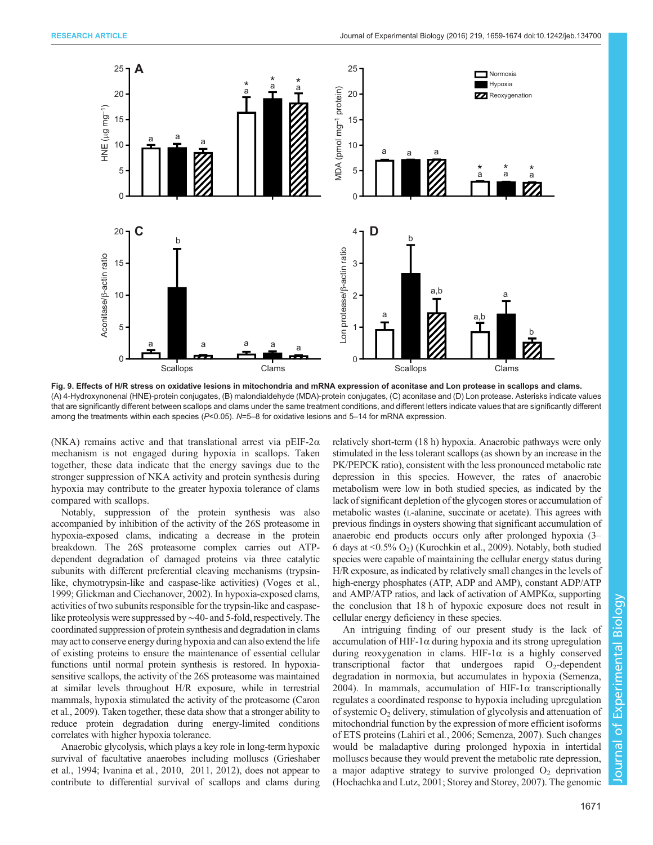<span id="page-12-0"></span>

Fig. 9. Effects of H/R stress on oxidative lesions in mitochondria and mRNA expression of aconitase and Lon protease in scallops and clams. (A) 4-Hydroxynonenal (HNE)-protein conjugates, (B) malondialdehyde (MDA)-protein conjugates, (C) aconitase and (D) Lon protease. Asterisks indicate values that are significantly different between scallops and clams under the same treatment conditions, and different letters indicate values that are significantly different among the treatments within each species ( $P<0.05$ ). N=5–8 for oxidative lesions and 5–14 for mRNA expression.

(NKA) remains active and that translational arrest via pEIF-2 $\alpha$ mechanism is not engaged during hypoxia in scallops. Taken together, these data indicate that the energy savings due to the stronger suppression of NKA activity and protein synthesis during hypoxia may contribute to the greater hypoxia tolerance of clams compared with scallops.

Notably, suppression of the protein synthesis was also accompanied by inhibition of the activity of the 26S proteasome in hypoxia-exposed clams, indicating a decrease in the protein breakdown. The 26S proteasome complex carries out ATPdependent degradation of damaged proteins via three catalytic subunits with different preferential cleaving mechanisms (trypsinlike, chymotrypsin-like and caspase-like activities) ([Voges et al](#page-15-0)., [1999;](#page-15-0) [Glickman and Ciechanover, 2002](#page-14-0)). In hypoxia-exposed clams, activities of two subunits responsible for the trypsin-like and caspaselike proteolysis were suppressed by∼40- and 5-fold, respectively. The coordinated suppression of protein synthesis and degradation in clams may act to conserve energy during hypoxia and can also extend the life of existing proteins to ensure the maintenance of essential cellular functions until normal protein synthesis is restored. In hypoxiasensitive scallops, the activity of the 26S proteasome was maintained at similar levels throughout H/R exposure, while in terrestrial mammals, hypoxia stimulated the activity of the proteasome [\(Caron](#page-13-0) et al.[, 2009](#page-13-0)). Taken together, these data show that a stronger ability to reduce protein degradation during energy-limited conditions correlates with higher hypoxia tolerance.

Anaerobic glycolysis, which plays a key role in long-term hypoxic survival of facultative anaerobes including molluscs ([Grieshaber](#page-14-0) et al.[, 1994; Ivanina et al](#page-14-0)., 2010, [2011](#page-14-0), [2012](#page-14-0)), does not appear to contribute to differential survival of scallops and clams during relatively short-term (18 h) hypoxia. Anaerobic pathways were only stimulated in the less tolerant scallops (as shown by an increase in the PK/PEPCK ratio), consistent with the less pronounced metabolic rate depression in this species. However, the rates of anaerobic metabolism were low in both studied species, as indicated by the lack of significant depletion of the glycogen stores or accumulation of metabolic wastes (L-alanine, succinate or acetate). This agrees with previous findings in oysters showing that significant accumulation of anaerobic end products occurs only after prolonged hypoxia (3– 6 days at  $\langle 0.5\% O_2 \rangle$  ([Kurochkin et al., 2009](#page-14-0)). Notably, both studied species were capable of maintaining the cellular energy status during H/R exposure, as indicated by relatively small changes in the levels of high-energy phosphates (ATP, ADP and AMP), constant ADP/ATP and AMP/ATP ratios, and lack of activation of AMPKα, supporting the conclusion that 18 h of hypoxic exposure does not result in cellular energy deficiency in these species.

An intriguing finding of our present study is the lack of accumulation of HIF-1α during hypoxia and its strong upregulation during reoxygenation in clams. HIF-1 $\alpha$  is a highly conserved transcriptional factor that undergoes rapid  $O_2$ -dependent degradation in normoxia, but accumulates in hypoxia ([Semenza,](#page-15-0) [2004\)](#page-15-0). In mammals, accumulation of HIF-1 $\alpha$  transcriptionally regulates a coordinated response to hypoxia including upregulation of systemic  $O_2$  delivery, stimulation of glycolysis and attenuation of mitochondrial function by the expression of more efficient isoforms of ETS proteins [\(Lahiri et al](#page-14-0)., 2006; [Semenza, 2007\)](#page-15-0). Such changes would be maladaptive during prolonged hypoxia in intertidal molluscs because they would prevent the metabolic rate depression, a major adaptive strategy to survive prolonged  $O<sub>2</sub>$  deprivation [\(Hochachka and Lutz, 2001](#page-14-0); [Storey and Storey, 2007\)](#page-15-0). The genomic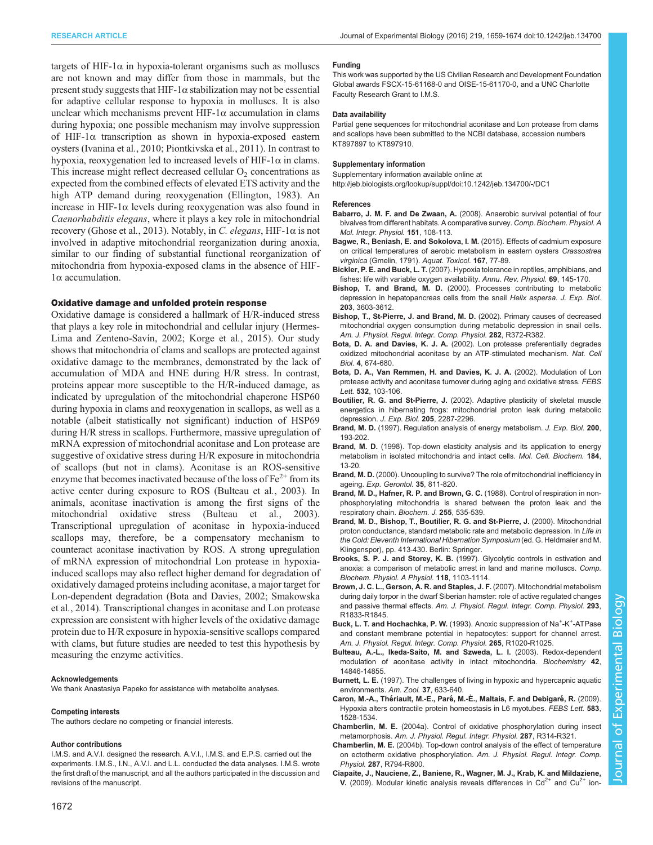<span id="page-13-0"></span>targets of HIF-1α in hypoxia-tolerant organisms such as molluscs are not known and may differ from those in mammals, but the present study suggests that HIF-1 $\alpha$  stabilization may not be essential for adaptive cellular response to hypoxia in molluscs. It is also unclear which mechanisms prevent HIF-1 $\alpha$  accumulation in clams during hypoxia; one possible mechanism may involve suppression of HIF-1α transcription as shown in hypoxia-exposed eastern oysters [\(Ivanina et al](#page-14-0)., 2010; [Piontkivska et al](#page-14-0)., 2011). In contrast to hypoxia, reoxygenation led to increased levels of HIF-1 $\alpha$  in clams. This increase might reflect decreased cellular  $O<sub>2</sub>$  concentrations as expected from the combined effects of elevated ETS activity and the high ATP demand during reoxygenation [\(Ellington, 1983](#page-14-0)). An increase in HIF-1 $\alpha$  levels during reoxygenation was also found in Caenorhabditis elegans, where it plays a key role in mitochondrial recovery [\(Ghose et al](#page-14-0)., 2013). Notably, in C. elegans, HIF-1 $\alpha$  is not involved in adaptive mitochondrial reorganization during anoxia, similar to our finding of substantial functional reorganization of mitochondria from hypoxia-exposed clams in the absence of HIF-1α accumulation.

## Oxidative damage and unfolded protein response

Oxidative damage is considered a hallmark of H/R-induced stress that plays a key role in mitochondrial and cellular injury ([Hermes-](#page-14-0)[Lima and Zenteno-Savín, 2002; Korge et al](#page-14-0)., 2015). Our study shows that mitochondria of clams and scallops are protected against oxidative damage to the membranes, demonstrated by the lack of accumulation of MDA and HNE during H/R stress. In contrast, proteins appear more susceptible to the H/R-induced damage, as indicated by upregulation of the mitochondrial chaperone HSP60 during hypoxia in clams and reoxygenation in scallops, as well as a notable (albeit statistically not significant) induction of HSP69 during H/R stress in scallops. Furthermore, massive upregulation of mRNA expression of mitochondrial aconitase and Lon protease are suggestive of oxidative stress during H/R exposure in mitochondria of scallops (but not in clams). Aconitase is an ROS-sensitive enzyme that becomes inactivated because of the loss of  $Fe<sup>2+</sup>$  from its active center during exposure to ROS (Bulteau et al., 2003). In animals, aconitase inactivation is among the first signs of the mitochondrial oxidative stress (Bulteau et al., 2003). Transcriptional upregulation of aconitase in hypoxia-induced scallops may, therefore, be a compensatory mechanism to counteract aconitase inactivation by ROS. A strong upregulation of mRNA expression of mitochondrial Lon protease in hypoxiainduced scallops may also reflect higher demand for degradation of oxidatively damaged proteins including aconitase, a major target for Lon-dependent degradation (Bota and Davies, 2002; [Smakowska](#page-15-0) et al.[, 2014\)](#page-15-0). Transcriptional changes in aconitase and Lon protease expression are consistent with higher levels of the oxidative damage protein due to H/R exposure in hypoxia-sensitive scallops compared with clams, but future studies are needed to test this hypothesis by measuring the enzyme activities.

## Acknowledgements

We thank Anastasiya Papeko for assistance with metabolite analyses.

#### Competing interests

The authors declare no competing or financial interests.

#### Author contributions

I.M.S. and A.V.I. designed the research. A.V.I., I.M.S. and E.P.S. carried out the experiments. I.M.S., I.N., A.V.I. and L.L. conducted the data analyses. I.M.S. wrote the first draft of the manuscript, and all the authors participated in the discussion and revisions of the manuscript.

This work was supported by the US Civilian Research and Development Foundation Global awards FSCX-15-61168-0 and OISE-15-61170-0, and a UNC Charlotte Faculty Research Grant to I.M.S.

#### Data availability

Partial gene sequences for mitochondrial aconitase and Lon protease from clams and scallops have been submitted to the NCBI database, accession numbers KT897897 to KT897910.

#### Supplementary information

Supplementary information available online at

<http://jeb.biologists.org/lookup/suppl/doi:10.1242/jeb.134700/-/DC1>

## References

- Babarro, J. M. F. and De Zwaan, A. [\(2008\). Anaerobic survival potential of four](http://dx.doi.org/10.1016/j.cbpa.2008.06.006) [bivalves from different habitats. A comparative survey.](http://dx.doi.org/10.1016/j.cbpa.2008.06.006) Comp. Biochem. Physiol. A [Mol. Integr. Physiol.](http://dx.doi.org/10.1016/j.cbpa.2008.06.006) 151, 108-113.
- [Bagwe, R., Beniash, E. and Sokolova, I. M.](http://dx.doi.org/10.1016/j.aquatox.2015.07.012) (2015). Effects of cadmium exposure [on critical temperatures of aerobic metabolism in eastern oysters](http://dx.doi.org/10.1016/j.aquatox.2015.07.012) Crassostrea virginica [\(Gmelin, 1791\).](http://dx.doi.org/10.1016/j.aquatox.2015.07.012) Aquat. Toxicol. 167, 77-89.
- Bickler, P. E. and Buck, L. T. [\(2007\). Hypoxia tolerance in reptiles, amphibians, and](http://dx.doi.org/10.1146/annurev.physiol.69.031905.162529) [fishes: life with variable oxygen availability.](http://dx.doi.org/10.1146/annurev.physiol.69.031905.162529) Annu. Rev. Physiol. 69, 145-170.
- Bishop, T. and Brand, M. D. (2000). Processes contributing to metabolic depression in hepatopancreas cells from the snail Helix aspersa. J. Exp. Biol. 203, 3603-3612.
- [Bishop, T., St-Pierre, J. and Brand, M. D.](http://dx.doi.org/10.1152/ajpregu.00401.2001) (2002). Primary causes of decreased [mitochondrial oxygen consumption during metabolic depression in snail cells.](http://dx.doi.org/10.1152/ajpregu.00401.2001) [Am. J. Physiol. Regul. Integr. Comp. Physiol.](http://dx.doi.org/10.1152/ajpregu.00401.2001) 282, R372-R382.
- Bota, D. A. and Davies, K. J. A. [\(2002\). Lon protease preferentially degrades](http://dx.doi.org/10.1038/ncb836) [oxidized mitochondrial aconitase by an ATP-stimulated mechanism.](http://dx.doi.org/10.1038/ncb836) Nat. Cell Biol. 4[, 674-680.](http://dx.doi.org/10.1038/ncb836)
- [Bota, D. A., Van Remmen, H. and Davies, K. J. A.](http://dx.doi.org/10.1016/S0014-5793(02)03638-4) (2002). Modulation of Lon [protease activity and aconitase turnover during aging and oxidative stress.](http://dx.doi.org/10.1016/S0014-5793(02)03638-4) FEBS Lett. 532[, 103-106.](http://dx.doi.org/10.1016/S0014-5793(02)03638-4)
- Boutilier, R. G. and St-Pierre, J. (2002). Adaptive plasticity of skeletal muscle energetics in hibernating frogs: mitochondrial proton leak during metabolic depression. J. Exp. Biol. 205, 2287-2296.
- Brand, M. D. (1997). Regulation analysis of energy metabolism. J. Exp. Biol. 200, 193-202.
- Brand, M. D. [\(1998\). Top-down elasticity analysis and its application to energy](http://dx.doi.org/10.1023/A:1006893619101) [metabolism in isolated mitochondria and intact cells.](http://dx.doi.org/10.1023/A:1006893619101) Mol. Cell. Biochem. 184, [13-20.](http://dx.doi.org/10.1023/A:1006893619101)
- Brand, M. D. [\(2000\). Uncoupling to survive? The role of mitochondrial inefficiency in](http://dx.doi.org/10.1016/S0531-5565(00)00135-2) ageing. [Exp. Gerontol.](http://dx.doi.org/10.1016/S0531-5565(00)00135-2) 35, 811-820.
- Brand, M. D., Hafner, R. P. and Brown, G. C. (1988). Control of respiration in nonphosphorylating mitochondria is shared between the proton leak and the respiratory chain. Biochem. J. 255, 535-539.
- Brand, M. D., Bishop, T., Boutilier, R. G. and St-Pierre, J. (2000). Mitochondrial proton conductance, standard metabolic rate and metabolic depression. In Life in the Cold: Eleventh International Hibernation Symposium (ed. G. Heldmaier and M. Klingenspor), pp. 413-430. Berlin: Springer.
- Brooks, S. P. J. and Storey, K. B. [\(1997\). Glycolytic controls in estivation and](http://dx.doi.org/10.1016/S0300-9629(97)00237-5) [anoxia: a comparison of metabolic arrest in land and marine molluscs.](http://dx.doi.org/10.1016/S0300-9629(97)00237-5) Comp. [Biochem. Physiol. A Physiol.](http://dx.doi.org/10.1016/S0300-9629(97)00237-5) 118, 1103-1114.
- [Brown, J. C. L., Gerson, A. R. and Staples, J. F.](http://dx.doi.org/10.1152/ajpregu.00310.2007) (2007). Mitochondrial metabolism [during daily torpor in the dwarf Siberian hamster: role of active regulated changes](http://dx.doi.org/10.1152/ajpregu.00310.2007) and passive thermal effects. [Am. J. Physiol. Regul. Integr. Comp. Physiol.](http://dx.doi.org/10.1152/ajpregu.00310.2007) 293, [R1833-R1845.](http://dx.doi.org/10.1152/ajpregu.00310.2007)
- Buck, L. T. and Hochachka, P. W. (1993). Anoxic suppression of Na<sup>+</sup>-K<sup>+</sup>-ATPase and constant membrane potential in hepatocytes: support for channel arrest. Am. J. Physiol. Regul. Integr. Comp. Physiol. 265, R1020-R1025.
- [Bulteau, A.-L., Ikeda-Saito, M. and Szweda, L. I.](http://dx.doi.org/10.1021/bi0353979) (2003). Redox-dependent [modulation of aconitase activity in intact mitochondria.](http://dx.doi.org/10.1021/bi0353979) Biochemistry 42, [14846-14855.](http://dx.doi.org/10.1021/bi0353979)
- Burnett, L. E. [\(1997\). The challenges of living in hypoxic and hypercapnic aquatic](http://dx.doi.org/10.1093/icb/37.6.633) [environments.](http://dx.doi.org/10.1093/icb/37.6.633) Am. Zool. 37, 633-640.
- Caron, M.-A., Thériault, M.-E., Paré[, M.-È., Maltais, F. and Debigare](http://dx.doi.org/10.1016/j.febslet.2009.04.006)́, R. (2009). [Hypoxia alters contractile protein homeostasis in L6 myotubes.](http://dx.doi.org/10.1016/j.febslet.2009.04.006) FEBS Lett. 583, [1528-1534.](http://dx.doi.org/10.1016/j.febslet.2009.04.006)
- Chamberlin, M. E. [\(2004a\). Control of oxidative phosphorylation during insect](http://dx.doi.org/10.1152/ajpregu.00144.2004) metamorphosis. [Am. J. Physiol. Regul. Integr. Physiol.](http://dx.doi.org/10.1152/ajpregu.00144.2004) 287, R314-R321.
- Chamberlin, M. E. [\(2004b\). Top-down control analysis of the effect of temperature](http://dx.doi.org/10.1152/ajpregu.00240.2004) [on ectotherm oxidative phosphorylation.](http://dx.doi.org/10.1152/ajpregu.00240.2004) Am. J. Physiol. Regul. Integr. Comp. Physiol. 287[, R794-R800.](http://dx.doi.org/10.1152/ajpregu.00240.2004)
- [Ciapaite, J., Nauciene, Z., Baniene, R., Wagner, M. J., Krab, K. and Mildaziene,](http://dx.doi.org/10.1111/j.1742-4658.2009.07084.x) **V.** [\(2009\).](http://dx.doi.org/10.1111/j.1742-4658.2009.07084.x) [Modular](http://dx.doi.org/10.1111/j.1742-4658.2009.07084.x) [kinetic](http://dx.doi.org/10.1111/j.1742-4658.2009.07084.x) [analysis](http://dx.doi.org/10.1111/j.1742-4658.2009.07084.x) [reveals](http://dx.doi.org/10.1111/j.1742-4658.2009.07084.x) [differences](http://dx.doi.org/10.1111/j.1742-4658.2009.07084.x) [in](http://dx.doi.org/10.1111/j.1742-4658.2009.07084.x)  $Cd^{2+}$  $Cd^{2+}$  [and](http://dx.doi.org/10.1111/j.1742-4658.2009.07084.x)  $Cu^{2+}$  $Cu^{2+}$  [ion-](http://dx.doi.org/10.1111/j.1742-4658.2009.07084.x)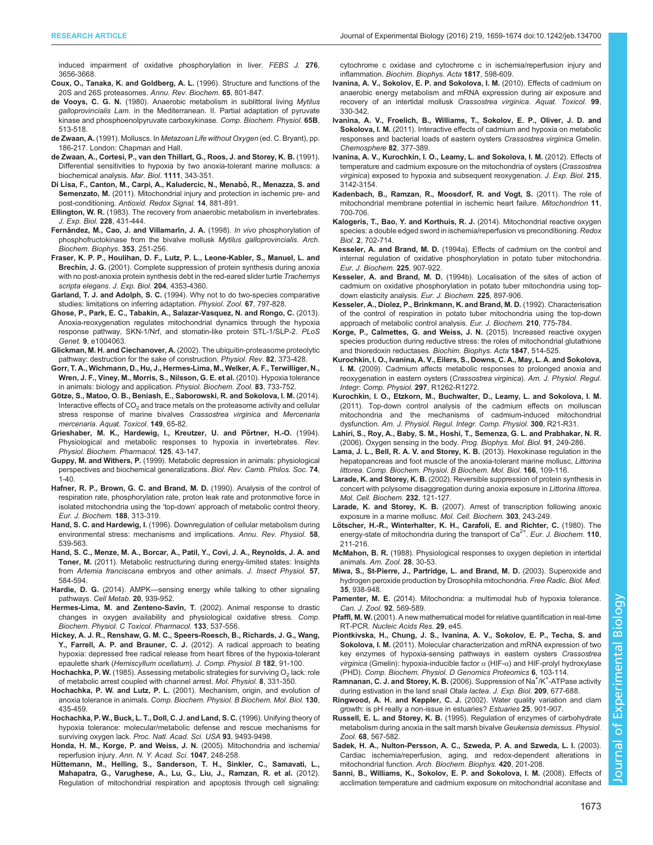<span id="page-14-0"></span>[induced impairment of oxidative phosphorylation in liver.](http://dx.doi.org/10.1111/j.1742-4658.2009.07084.x) FEBS J. 276, [3656-3668.](http://dx.doi.org/10.1111/j.1742-4658.2009.07084.x)

- [Coux, O., Tanaka, K. and Goldberg, A. L.](http://dx.doi.org/10.1146/annurev.bi.65.070196.004101) (1996). Structure and functions of the [20S and 26S proteasomes.](http://dx.doi.org/10.1146/annurev.bi.65.070196.004101) Annu. Rev. Biochem. 65, 801-847.
- de Vooys, C. G. N. [\(1980\). Anaerobic metabolism in sublittoral living](http://dx.doi.org/10.1016/0305-0491(80)90304-1) Mytilus galloprovincialis Lam[. in the Mediterranean. II. Partial adaptation of pyruvate](http://dx.doi.org/10.1016/0305-0491(80)90304-1) [kinase and phosphoenolpyruvate carboxykinase.](http://dx.doi.org/10.1016/0305-0491(80)90304-1) Comp. Biochem. Physiol. 65B, [513-518.](http://dx.doi.org/10.1016/0305-0491(80)90304-1)
- de Zwaan, A. (1991). Molluscs. In Metazoan Life without Oxygen (ed. C. Bryant), pp. 186-217. London: Chapman and Hall.
- [de Zwaan, A., Cortesi, P., van den Thillart, G., Roos, J. and Storey, K. B.](http://dx.doi.org/10.1007/BF01319405) (1991). [Differential sensitivities to hypoxia by two anoxia-tolerant marine molluscs: a](http://dx.doi.org/10.1007/BF01319405) [biochemical analysis.](http://dx.doi.org/10.1007/BF01319405) Mar. Biol. 1111, 343-351.
- Di Lisa, F., Canton, M., Carpi, A., Kaludercic, N., Menabò, R., Menazza, S. and Semenzato, M. [\(2011\). Mitochondrial injury and protection in ischemic pre- and](http://dx.doi.org/10.1089/ars.2010.3375) post-conditioning. [Antioxid. Redox Signal.](http://dx.doi.org/10.1089/ars.2010.3375) 14, 881-891.
- Ellington, W. R. [\(1983\). The recovery from anaerobic metabolism in invertebrates.](http://dx.doi.org/10.1002/jez.1402280305) [J. Exp. Biol.](http://dx.doi.org/10.1002/jez.1402280305) 228, 431-444.
- Ferná[ndez, M., Cao, J. and Villamar](http://dx.doi.org/10.1006/abbi.1998.0631)ín, J. A. (1998). In vivo phosphorylation of [phosphofructokinase from the bivalve mollusk](http://dx.doi.org/10.1006/abbi.1998.0631) Mytilus galloprovincialis. Arch. [Biochem. Biophys.](http://dx.doi.org/10.1006/abbi.1998.0631) 353, 251-256.
- Fraser, K. P. P., Houlihan, D. F., Lutz, P. L., Leone-Kabler, S., Manuel, L. and Brechin, J. G. (2001). Complete suppression of protein synthesis during anoxia with no post-anoxia protein synthesis debt in the red-eared slider turtle Trachemys scripta elegans. J. Exp. Biol. 204, 4353-4360.
- Garland, T. J. and Adolph, S. C. [\(1994\). Why not to do two-species comparative](http://dx.doi.org/10.1086/physzool.67.4.30163866) [studies: limitations on inferring adaptation.](http://dx.doi.org/10.1086/physzool.67.4.30163866) Physiol. Zool. 67, 797-828.
- [Ghose, P., Park, E. C., Tabakin, A., Salazar-Vasquez, N. and Rongo, C.](http://dx.doi.org/10.1371/journal.pgen.1004063) (2013). [Anoxia-reoxygenation regulates mitochondrial dynamics through the hypoxia](http://dx.doi.org/10.1371/journal.pgen.1004063) [response pathway, SKN-1/Nrf, and stomatin-like protein STL-1/SLP-2.](http://dx.doi.org/10.1371/journal.pgen.1004063) PLoS Genet. 9[, e1004063.](http://dx.doi.org/10.1371/journal.pgen.1004063)
- Glickman, M. H. and Ciechanover, A. [\(2002\). The ubiquitin-proteasome proteolytic](http://dx.doi.org/10.1152/physrev.00027.2001) [pathway: destruction for the sake of construction.](http://dx.doi.org/10.1152/physrev.00027.2001) Physiol. Rev. 82, 373-428.
- [Gorr, T. A., Wichmann, D., Hu, J., Hermes-Lima, M., Welker, A. F., Terwilliger, N.,](http://dx.doi.org/10.1086/648581) [Wren, J. F., Viney, M., Morris, S., Nilsson, G. E. et al.](http://dx.doi.org/10.1086/648581) (2010). Hypoxia tolerance [in animals: biology and application.](http://dx.doi.org/10.1086/648581) Physiol. Biochem. Zool. 83, 733-752.
- Gö[tze, S., Matoo, O. B., Beniash, E., Saborowski, R. and Sokolova, I. M.](http://dx.doi.org/10.1016/j.aquatox.2014.01.027) (2014). Interactive effects of  $CO<sub>2</sub>$  [and trace metals on the proteasome activity and cellular](http://dx.doi.org/10.1016/j.aquatox.2014.01.027) [stress response of marine bivalves](http://dx.doi.org/10.1016/j.aquatox.2014.01.027) Crassostrea virginica and Mercenaria mercenaria. [Aquat. Toxicol](http://dx.doi.org/10.1016/j.aquatox.2014.01.027). 149, 65-82.
- Grieshaber, M. K., Hardewig, I., Kreutzer, U. and Pörtner, H.-O. (1994). [Physiological and metabolic responses to hypoxia in invertebrates.](http://dx.doi.org/10.1007/bfb0030909) Rev. [Physiol. Biochem. Pharmacol.](http://dx.doi.org/10.1007/bfb0030909) 125, 43-147.
- Guppy, M. and Withers, P. [\(1999\). Metabolic depression in animals: physiological](http://dx.doi.org/10.1017/S0006323198005258) [perspectives and biochemical generalizations.](http://dx.doi.org/10.1017/S0006323198005258) Biol. Rev. Camb. Philos. Soc. 74, [1-40.](http://dx.doi.org/10.1017/S0006323198005258)
- [Hafner, R. P., Brown, G. C. and Brand, M. D.](http://dx.doi.org/10.1111/j.1432-1033.1990.tb15405.x) (1990). Analysis of the control of [respiration rate, phosphorylation rate, proton leak rate and protonmotive force in](http://dx.doi.org/10.1111/j.1432-1033.1990.tb15405.x) isolated mitochondria using the 'top-down' [approach of metabolic control theory.](http://dx.doi.org/10.1111/j.1432-1033.1990.tb15405.x) [Eur. J. Biochem.](http://dx.doi.org/10.1111/j.1432-1033.1990.tb15405.x) 188, 313-319.
- Hand, S. C. and Hardewig, I. [\(1996\). Downregulation of cellular metabolism during](http://dx.doi.org/10.1146/annurev.ph.58.030196.002543) [environmental stress: mechanisms and implications.](http://dx.doi.org/10.1146/annurev.ph.58.030196.002543) Annu. Rev. Physiol. 58, [539-563.](http://dx.doi.org/10.1146/annurev.ph.58.030196.002543)
- [Hand, S. C., Menze, M. A., Borcar, A., Patil, Y., Covi, J. A., Reynolds, J. A. and](http://dx.doi.org/10.1016/j.jinsphys.2011.02.010) Toner, M. [\(2011\). Metabolic restructuring during energy-limited states: Insights](http://dx.doi.org/10.1016/j.jinsphys.2011.02.010) from Artemia franciscana [embryos and other animals.](http://dx.doi.org/10.1016/j.jinsphys.2011.02.010) J. Insect Physiol. 57, [584-594.](http://dx.doi.org/10.1016/j.jinsphys.2011.02.010)
- Hardie, D. G. (2014). AMPK-[sensing energy while talking to other signaling](http://dx.doi.org/10.1016/j.cmet.2014.09.013) pathways. [Cell Metab.](http://dx.doi.org/10.1016/j.cmet.2014.09.013) 20, 939-952.
- [Hermes-Lima, M. and Zenteno-Sav](http://dx.doi.org/10.1016/S1532-0456(02)00080-7)ín, T. (2002). Animal response to drastic [changes in oxygen availability and physiological oxidative stress.](http://dx.doi.org/10.1016/S1532-0456(02)00080-7) Comp. [Biochem. Physiol. C Toxicol. Pharmacol.](http://dx.doi.org/10.1016/S1532-0456(02)00080-7) 133, 537-556.
- [Hickey, A. J. R., Renshaw, G. M. C., Speers-Roesch, B., Richards, J. G., Wang,](http://dx.doi.org/10.1007/s00360-011-0599-6) [Y., Farrell, A. P. and Brauner, C. J.](http://dx.doi.org/10.1007/s00360-011-0599-6) (2012). A radical approach to beating [hypoxia: depressed free radical release from heart fibres of the hypoxia-tolerant](http://dx.doi.org/10.1007/s00360-011-0599-6) epaulette shark ([Hemiscyllum ocellatum](http://dx.doi.org/10.1007/s00360-011-0599-6)). J. Comp. Physiol. B 182, 91-100.
- Hochachka, P. W. (1985). Assessing metabolic strategies for surviving  $O_2$  lack: role of metabolic arrest coupled with channel arrest. Mol. Physiol. 8, 331-350.
- Hochachka, P. W. and Lutz, P. L. [\(2001\). Mechanism, origin, and evolution of](http://dx.doi.org/10.1016/S1096-4959(01)00408-0) anoxia tolerance in animals. [Comp. Biochem. Physiol. B Biochem. Mol. Biol.](http://dx.doi.org/10.1016/S1096-4959(01)00408-0) 130, [435-459.](http://dx.doi.org/10.1016/S1096-4959(01)00408-0)
- [Hochachka, P. W., Buck, L. T., Doll, C. J. and Land, S. C.](http://dx.doi.org/10.1073/pnas.93.18.9493) (1996). Unifying theory of [hypoxia tolerance: molecular/metabolic defense and rescue mechanisms for](http://dx.doi.org/10.1073/pnas.93.18.9493) surviving oxygen lack. [Proc. Natl. Acad. Sci. USA](http://dx.doi.org/10.1073/pnas.93.18.9493) 93, 9493-9498.
- [Honda, H. M., Korge, P. and Weiss, J. N.](http://dx.doi.org/10.1196/annals.1341.022) (2005). Mitochondria and ischemia/ reperfusion injury. [Ann. N. Y. Acad. Sci.](http://dx.doi.org/10.1196/annals.1341.022) 1047, 248-258.
- Hü[ttemann, M., Helling, S., Sanderson, T. H., Sinkler, C., Samavati, L.,](http://dx.doi.org/10.1016/j.bbabio.2011.07.001) [Mahapatra, G., Varughese, A., Lu, G., Liu, J., Ramzan, R. et al.](http://dx.doi.org/10.1016/j.bbabio.2011.07.001) (2012). [Regulation of mitochondrial respiration and apoptosis through cell signaling:](http://dx.doi.org/10.1016/j.bbabio.2011.07.001)

[cytochrome c oxidase and cytochrome c in ischemia/reperfusion injury and](http://dx.doi.org/10.1016/j.bbabio.2011.07.001) inflammation. [Biochim. Biophys. Acta](http://dx.doi.org/10.1016/j.bbabio.2011.07.001) 1817, 598-609.

- [Ivanina, A. V., Sokolov, E. P. and Sokolova, I. M.](http://dx.doi.org/10.1016/j.aquatox.2010.05.013) (2010). Effects of cadmium on [anaerobic energy metabolism and mRNA expression during air exposure and](http://dx.doi.org/10.1016/j.aquatox.2010.05.013) [recovery of an intertidal mollusk](http://dx.doi.org/10.1016/j.aquatox.2010.05.013) Crassostrea virginica. Aquat. Toxicol. 99, [330-342.](http://dx.doi.org/10.1016/j.aquatox.2010.05.013)
- [Ivanina, A. V., Froelich, B., Williams, T., Sokolov, E. P., Oliver, J. D. and](http://dx.doi.org/10.1016/j.chemosphere.2010.09.075) Sokolova, I. M. [\(2011\). Interactive effects of cadmium and hypoxia on metabolic](http://dx.doi.org/10.1016/j.chemosphere.2010.09.075) [responses and bacterial loads of eastern oysters](http://dx.doi.org/10.1016/j.chemosphere.2010.09.075) Crassostrea virginica Gmelin. [Chemosphere](http://dx.doi.org/10.1016/j.chemosphere.2010.09.075) 82, 377-389.
- [Ivanina, A. V., Kurochkin, I. O., Leamy, L. and Sokolova, I. M.](http://dx.doi.org/10.1242/jeb.071357) (2012). Effects of [temperature and cadmium exposure on the mitochondria of oysters \(](http://dx.doi.org/10.1242/jeb.071357)Crassostrea virginica[\) exposed to hypoxia and subsequent reoxygenation.](http://dx.doi.org/10.1242/jeb.071357) J. Exp. Biol. 215, [3142-3154.](http://dx.doi.org/10.1242/jeb.071357)
- [Kadenbach, B., Ramzan, R., Moosdorf, R. and Vogt, S.](http://dx.doi.org/10.1016/j.mito.2011.06.001) (2011). The role of [mitochondrial membrane potential in ischemic heart failure.](http://dx.doi.org/10.1016/j.mito.2011.06.001) Mitochondrion 11, [700-706.](http://dx.doi.org/10.1016/j.mito.2011.06.001)
- [Kalogeris, T., Bao, Y. and Korthuis, R. J.](http://dx.doi.org/10.1016/j.redox.2014.05.006) (2014). Mitochondrial reactive oxygen [species: a double edged sword in ischemia/reperfusion vs preconditioning.](http://dx.doi.org/10.1016/j.redox.2014.05.006) Redox Biol. 2[, 702-714.](http://dx.doi.org/10.1016/j.redox.2014.05.006)
- Kesseler, A. and Brand, M. D. [\(1994a\). Effects of cadmium on the control and](http://dx.doi.org/10.1111/j.1432-1033.1994.0907b.x) [internal regulation of oxidative phosphorylation in potato tuber mitochondria.](http://dx.doi.org/10.1111/j.1432-1033.1994.0907b.x) [Eur. J. Biochem.](http://dx.doi.org/10.1111/j.1432-1033.1994.0907b.x) 225, 907-922.
- Kesseler, A. and Brand, M. D. [\(1994b\). Localisation of the sites of action of](http://dx.doi.org/10.1111/j.1432-1033.1994.0897b.x) [cadmium on oxidative phosphorylation in potato tuber mitochondria using top](http://dx.doi.org/10.1111/j.1432-1033.1994.0897b.x)[down elasticity analysis.](http://dx.doi.org/10.1111/j.1432-1033.1994.0897b.x) Eur. J. Biochem. 225, 897-906.
- [Kesseler, A., Diolez, P., Brinkmann, K. and Brand, M. D.](http://dx.doi.org/10.1111/j.1432-1033.1992.tb17480.x) (1992). Characterisation [of the control of respiration in potato tuber mitochondria using the top-down](http://dx.doi.org/10.1111/j.1432-1033.1992.tb17480.x) [approach of metabolic control analysis.](http://dx.doi.org/10.1111/j.1432-1033.1992.tb17480.x) Eur. J. Biochem. 210, 775-784.
- [Korge, P., Calmettes, G. and Weiss, J. N.](http://dx.doi.org/10.1016/j.bbabio.2015.02.012) (2015). Increased reactive oxygen [species production during reductive stress: the roles of mitochondrial glutathione](http://dx.doi.org/10.1016/j.bbabio.2015.02.012) [and thioredoxin reductases.](http://dx.doi.org/10.1016/j.bbabio.2015.02.012) Biochim. Biophys. Acta 1847, 514-525.
- [Kurochkin, I. O., Ivanina, A. V., Eilers, S., Downs, C. A., May, L. A. and Sokolova,](http://dx.doi.org/10.1152/ajpregu.00324.2009) I. M. [\(2009\). Cadmium affects metabolic responses to prolonged anoxia and](http://dx.doi.org/10.1152/ajpregu.00324.2009) [reoxygenation in eastern oysters \(](http://dx.doi.org/10.1152/ajpregu.00324.2009)Crassostrea virginica). Am. J. Physiol. Regul. [Integr. Comp. Physiol.](http://dx.doi.org/10.1152/ajpregu.00324.2009) 297, R1262-R1272.
- [Kurochkin, I. O., Etzkorn, M., Buchwalter, D., Leamy, L. and Sokolova, I. M.](http://dx.doi.org/10.1152/ajpregu.00279.2010) [\(2011\). Top-down control analysis of the cadmium effects on molluscan](http://dx.doi.org/10.1152/ajpregu.00279.2010) [mitochondria and the mechanisms of cadmium-induced mitochondrial](http://dx.doi.org/10.1152/ajpregu.00279.2010) dysfunction. [Am. J. Physiol. Regul. Integr. Comp. Physiol.](http://dx.doi.org/10.1152/ajpregu.00279.2010) 300, R21-R31.
- [Lahiri, S., Roy, A., Baby, S. M., Hoshi, T., Semenza, G. L. and Prabhakar, N. R.](http://dx.doi.org/10.1016/j.pbiomolbio.2005.07.001) [\(2006\). Oxygen sensing in the body.](http://dx.doi.org/10.1016/j.pbiomolbio.2005.07.001) Prog. Biophys. Mol. Biol. 91, 249-286.
- [Lama, J. L., Bell, R. A. V. and Storey, K. B.](http://dx.doi.org/10.1016/j.cbpb.2013.07.001) (2013). Hexokinase regulation in the [hepatopancreas and foot muscle of the anoxia-tolerant marine mollusc,](http://dx.doi.org/10.1016/j.cbpb.2013.07.001) Littorina littorea. [Comp. Biochem. Physiol. B Biochem. Mol. Biol.](http://dx.doi.org/10.1016/j.cbpb.2013.07.001) 166, 109-116.
- Larade, K. and Storey, K. B. [\(2002\). Reversible suppression of protein synthesis in](http://dx.doi.org/10.1023/A:1014811017753) [concert with polysome disaggregation during anoxia exposure in](http://dx.doi.org/10.1023/A:1014811017753) Littorina littorea. [Mol. Cell. Biochem.](http://dx.doi.org/10.1023/A:1014811017753) 232, 121-127.
- Larade, K. and Storey, K. B. [\(2007\). Arrest of transcription following anoxic](http://dx.doi.org/10.1007/s11010-007-9468-8) [exposure in a marine mollusc.](http://dx.doi.org/10.1007/s11010-007-9468-8) Mol. Cell. Biochem. 303, 243-249.
- Lö[tscher, H.-R., Winterhalter, K. H., Carafoli, E. and Richter, C.](http://dx.doi.org/10.1111/j.1432-1033.1980.tb04857.x) (1980). The [energy-state](http://dx.doi.org/10.1111/j.1432-1033.1980.tb04857.x) [of](http://dx.doi.org/10.1111/j.1432-1033.1980.tb04857.x) [mitochondria](http://dx.doi.org/10.1111/j.1432-1033.1980.tb04857.x) [during](http://dx.doi.org/10.1111/j.1432-1033.1980.tb04857.x) [the](http://dx.doi.org/10.1111/j.1432-1033.1980.tb04857.x) [transport](http://dx.doi.org/10.1111/j.1432-1033.1980.tb04857.x) of  $Ca<sup>2+</sup>$  $Ca<sup>2+</sup>$ . [Eur. J. Biochem.](http://dx.doi.org/10.1111/j.1432-1033.1980.tb04857.x) 110, [211-216.](http://dx.doi.org/10.1111/j.1432-1033.1980.tb04857.x)
- McMahon, B. R. [\(1988\). Physiological responses to oxygen depletion in intertidal](http://dx.doi.org/10.1093/icb/28.1.39) animals. [Am. Zool.](http://dx.doi.org/10.1093/icb/28.1.39) 28, 30-53.
- [Miwa, S., St-Pierre, J., Partridge, L. and Brand, M. D.](http://dx.doi.org/10.1016/S0891-5849(03)00464-7) (2003). Superoxide and [hydrogen peroxide production by Drosophila mitochondria.](http://dx.doi.org/10.1016/S0891-5849(03)00464-7) Free Radic. Biol. Med. 35[, 938-948.](http://dx.doi.org/10.1016/S0891-5849(03)00464-7)
- Pamenter, M. E. [\(2014\). Mitochondria: a multimodal hub of hypoxia tolerance.](http://dx.doi.org/10.1139/cjz-2013-0247) [Can. J. Zool.](http://dx.doi.org/10.1139/cjz-2013-0247) 92, 569-589.
- Pfaffl, M. W. [\(2001\). A new mathematical model for relative quantification in real-time](http://dx.doi.org/10.1093/nar/29.9.e45) RT-PCR. [Nucleic Acids Res.](http://dx.doi.org/10.1093/nar/29.9.e45) 29, e45.
- [Piontkivska, H., Chung, J. S., Ivanina, A. V., Sokolov, E. P., Techa, S. and](http://dx.doi.org/10.1016/j.cbd.2010.10.003) Sokolova, I. M. [\(2011\). Molecular characterization and mRNA expression of two](http://dx.doi.org/10.1016/j.cbd.2010.10.003) [key enzymes of hypoxia-sensing pathways in eastern oysters](http://dx.doi.org/10.1016/j.cbd.2010.10.003) Crassostrea virginica [\(Gmelin\): hypoxia-inducible factor](http://dx.doi.org/10.1016/j.cbd.2010.10.003)  $α$  (HIF- $α$ ) and HIF-prolyl hydroxylase (PHD). [Comp. Biochem. Physiol. D Genomics Proteomics](http://dx.doi.org/10.1016/j.cbd.2010.10.003) 6, 103-114.
- [Ramnanan,](http://dx.doi.org/10.1242/jeb.02052) [C.](http://dx.doi.org/10.1242/jeb.02052) [J.](http://dx.doi.org/10.1242/jeb.02052) [and](http://dx.doi.org/10.1242/jeb.02052) [Storey,](http://dx.doi.org/10.1242/jeb.02052) [K.](http://dx.doi.org/10.1242/jeb.02052) [B.](http://dx.doi.org/10.1242/jeb.02052) (2006). Suppression of Na<sup>+</sup>[/K](http://dx.doi.org/10.1242/jeb.02052)<sup>+</sup>[-ATPase activity](http://dx.doi.org/10.1242/jeb.02052) [during estivation in the land snail](http://dx.doi.org/10.1242/jeb.02052) Otala lactea. J. Exp. Biol. 209, 677-688.
- Ringwood, A. H. and Keppler, C. J. [\(2002\). Water quality variation and clam](http://dx.doi.org/10.1007/BF02691338) [growth: is pH really a non-issue in estuaries?](http://dx.doi.org/10.1007/BF02691338) Estuaries 25, 901-907.
- Russell, E. L. and Storey, K. B. [\(1995\). Regulation of enzymes of carbohydrate](http://dx.doi.org/10.1086/physzool.68.4.30166345) [metabolism during anoxia in the salt marsh bivalve](http://dx.doi.org/10.1086/physzool.68.4.30166345) Geukensia demissus. Physiol. Zool. 68[, 567-582.](http://dx.doi.org/10.1086/physzool.68.4.30166345)
- [Sadek, H. A., Nulton-Persson, A. C., Szweda, P. A. and Szweda, L. I.](http://dx.doi.org/10.1016/j.abb.2003.09.029) (2003). [Cardiac ischemia/reperfusion, aging, and redox-dependent alterations in](http://dx.doi.org/10.1016/j.abb.2003.09.029) mitochondrial function. [Arch. Biochem. Biophys.](http://dx.doi.org/10.1016/j.abb.2003.09.029) 420, 201-208.
- [Sanni, B., Williams, K., Sokolov, E. P. and Sokolova, I. M.](http://dx.doi.org/10.1016/j.cbpc.2007.08.005) (2008). Effects of [acclimation temperature and cadmium exposure on mitochondrial aconitase and](http://dx.doi.org/10.1016/j.cbpc.2007.08.005)